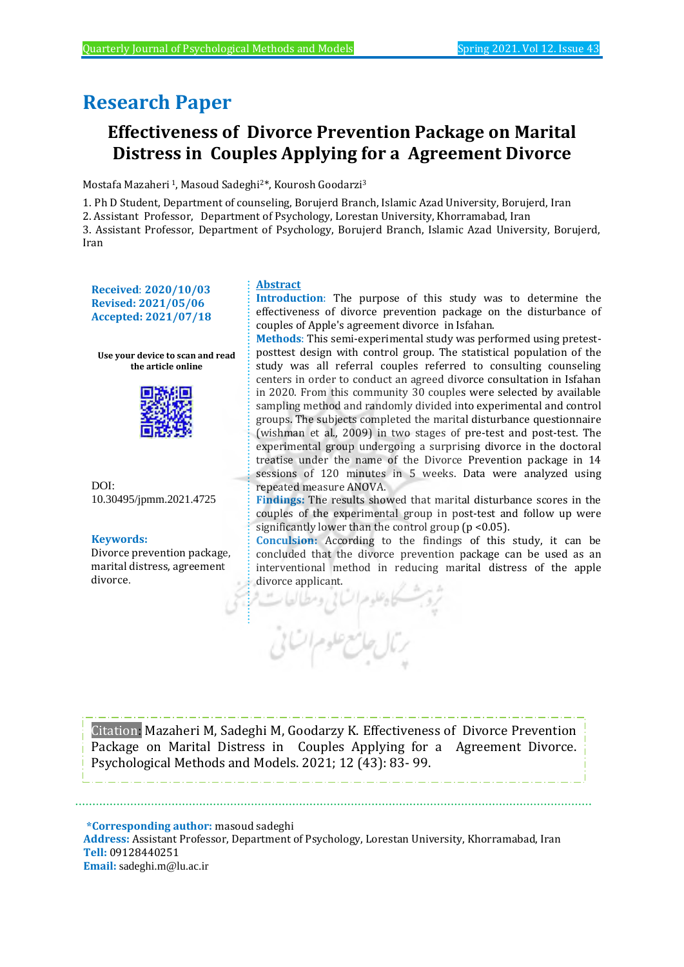# **Research Paper**

# **Effectiveness of Divorce Prevention Package on Marital Distress in Couples Applying for a Agreement Divorce**

Mostafa Mazaheri <sup>1</sup>, Masoud Sadeghi2\*, Kourosh Goodarzi<sup>3</sup>

1. Ph D Student, Department of counseling, Borujerd Branch, Islamic Azad University, Borujerd, Iran

2. Assistant Professor, Department of Psychology, Lorestan University, Khorramabad, Iran

3. Assistant Professor, Department of Psychology, Borujerd Branch, Islamic Azad University, Borujerd, Iran

**Received**: **2020/10/03 Revised: 2021/05/06 Accepted: 2021/07/18**

**Use your device to scan and read the article online**



DOI: 10.30495/jpmm.2021.4725

#### **Keywords:**

Divorce prevention package, marital distress, agreement divorce.

## **Abstract**

**Introduction**: The purpose of this study was to determine the effectiveness of divorce prevention package on the disturbance of couples of Apple's agreement divorce in Isfahan.

**Methods**: This semi-experimental study was performed using pretestposttest design with control group. The statistical population of the study was all referral couples referred to consulting counseling centers in order to conduct an agreed divorce consultation in Isfahan in 2020. From this community 30 couples were selected by available sampling method and randomly divided into experimental and control groups. The subjects completed the marital disturbance questionnaire (wishman et al., 2009) in two stages of pre-test and post-test. The experimental group undergoing a surprising divorce in the doctoral treatise under the name of the Divorce Prevention package in 14 sessions of 120 minutes in 5 weeks. Data were analyzed using repeated measure ANOVA.

**Findings:** The results showed that marital disturbance scores in the couples of the experimental group in post-test and follow up were significantly lower than the control group ( $p < 0.05$ ).

**Conculsion:** According to the findings of this study, it can be concluded that the divorce prevention package can be used as an interventional method in reducing marital distress of the apple divorce applicant.



Citation: Mazaheri M, Sadeghi M, Goodarzy K. Effectiveness of Divorce Prevention Package on Marital Distress in Couples Applying for a Agreement Divorce. Psychological Methods and Models. 2021; 12 (43): 83- 99.

 **\*Corresponding author:** masoud sadeghi **Address:** Assistant Professor, Department of Psychology, Lorestan University, Khorramabad, Iran **Tell:** 09128440251 **Email:** sadeghi.m@lu.ac.ir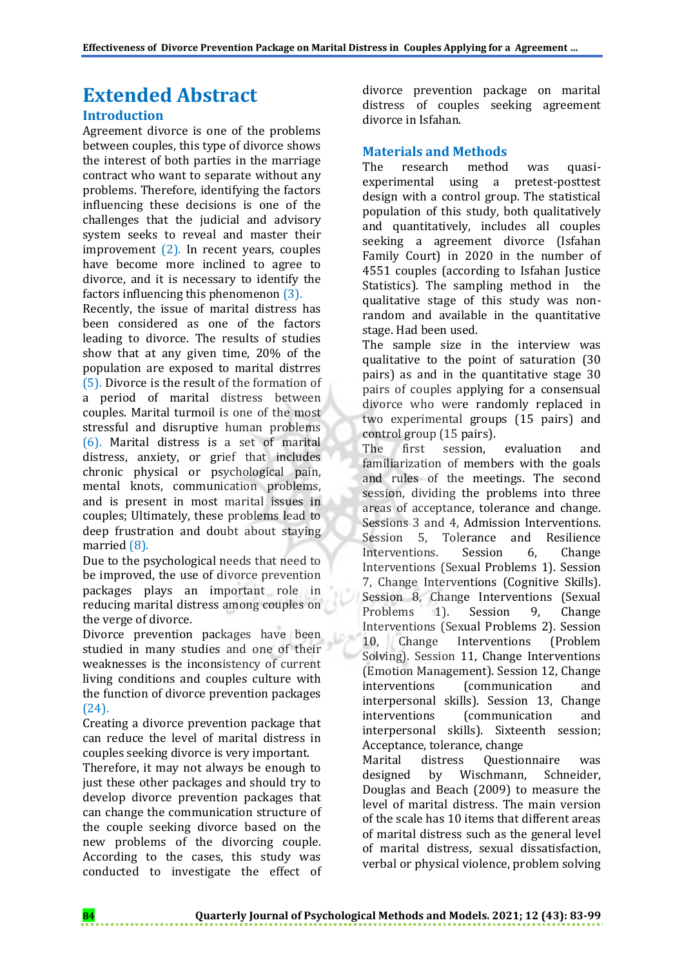# **Extended Abstract**

## **Introduction**

Agreement divorce is one of the problems between couples, this type of divorce shows the interest of both parties in the marriage contract who want to separate without any problems. Therefore, identifying the factors influencing these decisions is one of the challenges that the judicial and advisory system seeks to reveal and master their improvement (2). In recent years, couples have become more inclined to agree to divorce, and it is necessary to identify the factors influencing this phenomenon (3).

Recently, the issue of marital distress has been considered as one of the factors leading to divorce. The results of studies show that at any given time, 20% of the population are exposed to marital distrres (5). Divorce is the result of the formation of a period of marital distress between couples. Marital turmoil is one of the most stressful and disruptive human problems (6). Marital distress is a set of marital distress, anxiety, or grief that includes chronic physical or psychological pain, mental knots, communication problems, and is present in most marital issues in couples; Ultimately, these problems lead to deep frustration and doubt about staying married (8).

Due to the psychological needs that need to be improved, the use of divorce prevention packages plays an important role in reducing marital distress among couples on the verge of divorce.

Divorce prevention packages have been studied in many studies and one of their weaknesses is the inconsistency of current living conditions and couples culture with the function of divorce prevention packages (24).

Creating a divorce prevention package that can reduce the level of marital distress in couples seeking divorce is very important.

Therefore, it may not always be enough to just these other packages and should try to develop divorce prevention packages that can change the communication structure of the couple seeking divorce based on the new problems of the divorcing couple. According to the cases, this study was conducted to investigate the effect of divorce prevention package on marital distress of couples seeking agreement divorce in Isfahan.

## **Materials and Methods**

The research method was quasiexperimental using a pretest-posttest design with a control group. The statistical population of this study, both qualitatively and quantitatively, includes all couples seeking a agreement divorce (Isfahan Family Court) in 2020 in the number of 4551 couples (according to Isfahan Justice Statistics). The sampling method in the qualitative stage of this study was nonrandom and available in the quantitative stage. Had been used.

The sample size in the interview was qualitative to the point of saturation (30 pairs) as and in the quantitative stage 30 pairs of couples applying for a consensual divorce who were randomly replaced in two experimental groups (15 pairs) and control group (15 pairs).

The first session, evaluation and familiarization of members with the goals and rules of the meetings. The second session, dividing the problems into three areas of acceptance, tolerance and change. Sessions 3 and 4, Admission Interventions. Session 5, Tolerance and Resilience Interventions. Session 6, Change Interventions (Sexual Problems 1). Session 7, Change Interventions (Cognitive Skills). Session 8, Change Interventions (Sexual Problems 1). Session 9, Change Interventions (Sexual Problems 2). Session 10, Change Interventions (Problem Solving). Session 11, Change Interventions (Emotion Management). Session 12, Change interventions (communication and interpersonal skills). Session 13, Change interventions (communication and interpersonal skills). Sixteenth session; Acceptance, tolerance, change

Marital distress Questionnaire was designed by Wischmann, Schneider, Douglas and Beach (2009) to measure the level of marital distress. The main version of the scale has 10 items that different areas of marital distress such as the general level of marital distress, sexual dissatisfaction, verbal or physical violence, problem solving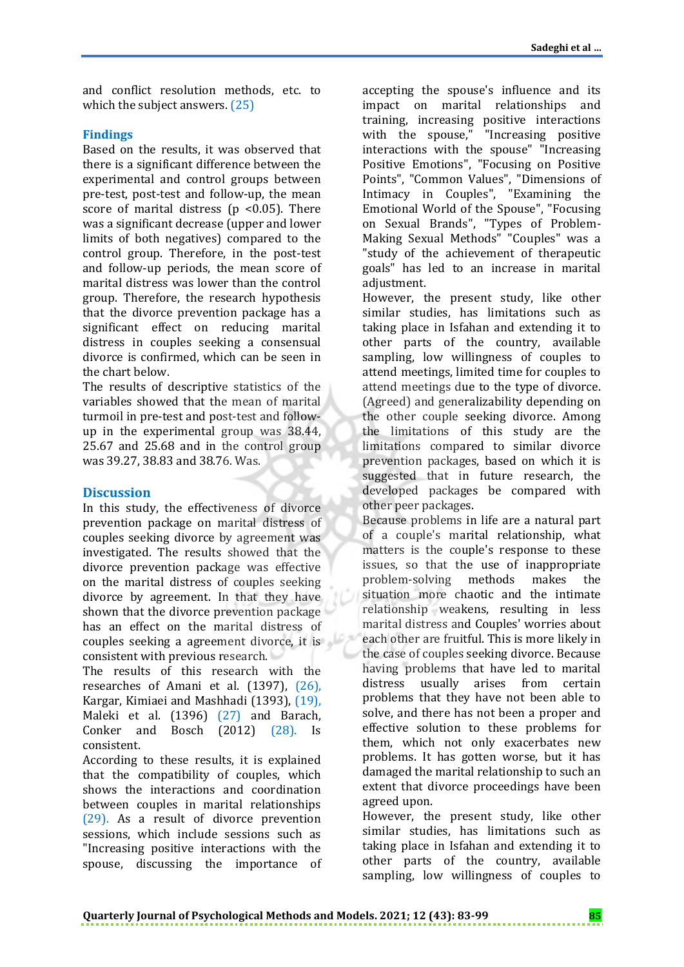and conflict resolution methods, etc. to which the subject answers. (25)

## **Findings**

Based on the results, it was observed that there is a significant difference between the experimental and control groups between pre-test, post-test and follow-up, the mean score of marital distress ( $p$  <0.05). There was a significant decrease (upper and lower limits of both negatives) compared to the control group. Therefore, in the post-test and follow-up periods, the mean score of marital distress was lower than the control group. Therefore, the research hypothesis that the divorce prevention package has a significant effect on reducing marital distress in couples seeking a consensual divorce is confirmed, which can be seen in the chart below.

The results of descriptive statistics of the variables showed that the mean of marital turmoil in pre-test and post-test and followup in the experimental group was 38.44, 25.67 and 25.68 and in the control group was 39.27, 38.83 and 38.76. Was.

## **Discussion**

In this study, the effectiveness of divorce prevention package on marital distress of couples seeking divorce by agreement was investigated. The results showed that the divorce prevention package was effective on the marital distress of couples seeking divorce by agreement. In that they have shown that the divorce prevention package has an effect on the marital distress of couples seeking a agreement divorce, it is consistent with previous research.

The results of this research with the researches of Amani et al. (1397), (26), Kargar, Kimiaei and Mashhadi (1393), (19), Maleki et al. (1396) (27) and Barach, Conker and Bosch (2012) (28). Is consistent.

According to these results, it is explained that the compatibility of couples, which shows the interactions and coordination between couples in marital relationships (29). As a result of divorce prevention sessions, which include sessions such as "Increasing positive interactions with the spouse, discussing the importance of

accepting the spouse's influence and its impact on marital relationships and training, increasing positive interactions with the spouse," "Increasing positive interactions with the spouse" "Increasing Positive Emotions", "Focusing on Positive Points", "Common Values", "Dimensions of Intimacy in Couples", "Examining the Emotional World of the Spouse", "Focusing on Sexual Brands", "Types of Problem-Making Sexual Methods" "Couples" was a "study of the achievement of therapeutic goals" has led to an increase in marital adjustment.

However, the present study, like other similar studies, has limitations such as taking place in Isfahan and extending it to other parts of the country, available sampling, low willingness of couples to attend meetings, limited time for couples to attend meetings due to the type of divorce. (Agreed) and generalizability depending on the other couple seeking divorce. Among the limitations of this study are the limitations compared to similar divorce prevention packages, based on which it is suggested that in future research, the developed packages be compared with other peer packages.

Because problems in life are a natural part of a couple's marital relationship, what matters is the couple's response to these issues, so that the use of inappropriate problem-solving methods makes the situation more chaotic and the intimate relationship weakens, resulting in less marital distress and Couples' worries about each other are fruitful. This is more likely in the case of couples seeking divorce. Because having problems that have led to marital distress usually arises from certain problems that they have not been able to solve, and there has not been a proper and effective solution to these problems for them, which not only exacerbates new problems. It has gotten worse, but it has damaged the marital relationship to such an extent that divorce proceedings have been agreed upon.

However, the present study, like other similar studies, has limitations such as taking place in Isfahan and extending it to other parts of the country, available sampling, low willingness of couples to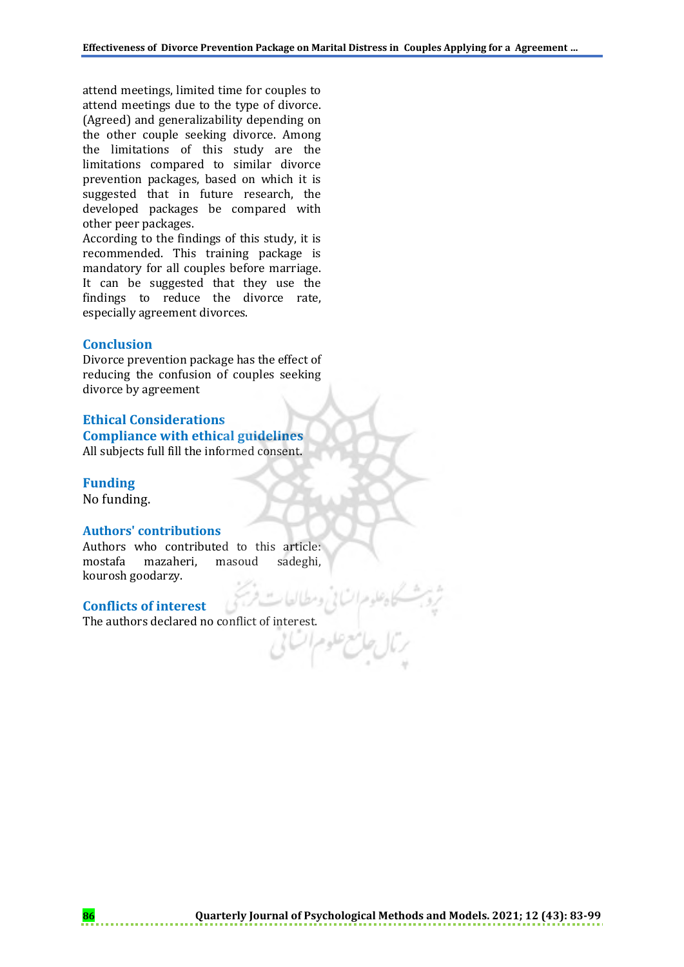attend meetings, limited time for couples to attend meetings due to the type of divorce. (Agreed) and generalizability depending on the other couple seeking divorce. Among the limitations of this study are the limitations compared to similar divorce prevention packages, based on which it is suggested that in future research, the developed packages be compared with other peer packages.

According to the findings of this study, it is recommended. This training package is mandatory for all couples before marriage. It can be suggested that they use the findings to reduce the divorce rate, especially agreement divorces.

#### **Conclusion**

Divorce prevention package has the effect of reducing the confusion of couples seeking divorce by agreement

**Ethical Considerations Compliance with ethical guidelines** All subjects full fill the informed consent.

#### **Funding**

No funding.

#### **Authors' contributions**

Authors who contributed to this article: mostafa mazaheri, masoud sadeghi, kourosh goodarzy.

## **Conflicts of interest**

The authors declared no conflict of interest.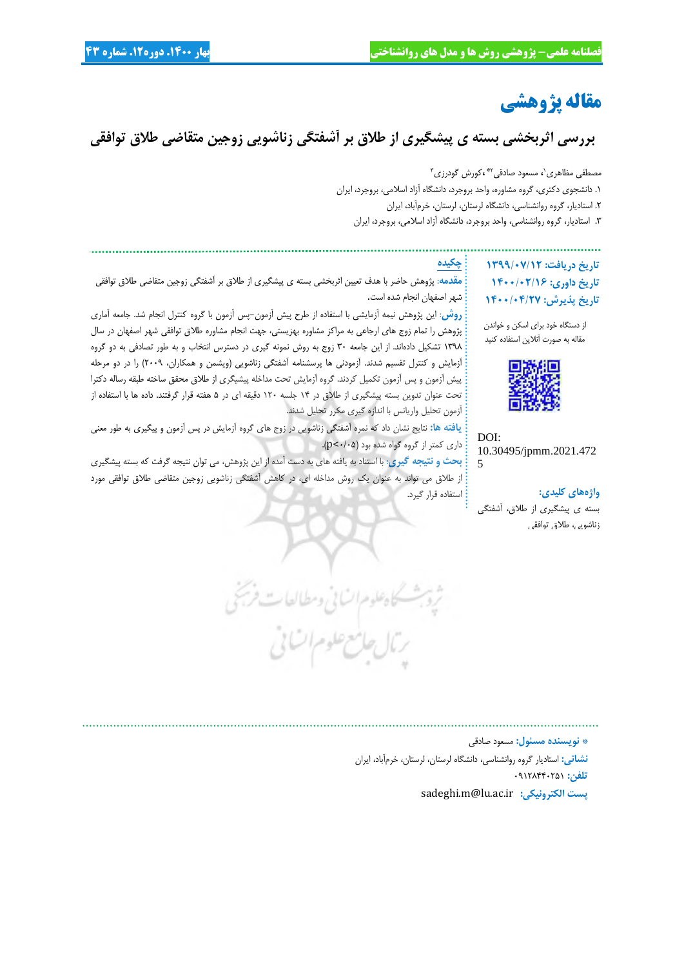# **مقاله پژوهشی**

**بررسی اثربخشی بسته ی پیشگیری از طالق بر آشفتگی زناشویی زوجین متقاضی طالق توافقی**

مصطفی مظاهری<sup>،</sup>، مسعود صادقی<sup>۳</sup> ،کورش گودرزی <del>ّ</del> .1 دانشجوی دکتری، گروه مشاوره، واحد بروجرد، دانشگاه آزاد اسالمی، بروجرد، ایران .2 استادیار، گروه روانشناسی، دانشگاه لرستان، لرستان، خرمآباد، ایران .3 استادیار، گروه روانشناسی، واحد بروجرد، دانشگاه آزاد اسالمی، بروجرد، ایران

**چکیده**

**تاریخ دریافت: 1399/07/12 تاریخ داوری: 1400/02/16 تاریخ پذیرش: 1400/04/27**

از دستگاه خود برای اسکن و خواندن مقاله به صورت آنالین استفاده کنید



DOI: 10.30495/jpmm.2021.472 5

**واژههای کلیدی:** بسته ی پیشگیری از طالق، آشفتگی

زناشویی، طالق توافقی

**مقدمه**: پژوهش حاضر با هدف تعیین اثربخشی بسته ی پیشگیری از طالق بر آشفتگی زوجین متقاضی طالق توافقی شهر اصفهان انجام شده است.

**روش**: این پژوهش نیمه آزمایشی با استفاده از طرح پیش آزمون-پس آزمون با گروه کنترل انجام شد. جامعه آماری پژوهش را تمام زوج های ارجاعی به مراکز مشاوره بهزیستی، جهت انجام مشاوره طالق توافقی شهر اصفهان در سال 1398 تشکیل دادهاند. از این جامعه 30 زوج به روش نمونه گیری در دسترس انتخاب و به طور تصادفی به دو گروه آزمایش و کنترل تقسیم شدند. آزمودنی ها پرسشنامه آشفتگی زناشویی )ویشمن و همکاران، 2009( را در دو مرحله پیش آزمون و پس آزمون تکمیل کردند. گروه آزمایش تحت مداخله پیشیگری از طالق محقق ساخته طبقه رساله دکترا تحت عنوان تدوین بسته پیشگیری از طالق در 14 جلسه 120 دقیقه ای در 5 هفته قرار گرفتند. داده ها با استفاده از آزمون تحلیل واریانس با اندازه گیری مکرر تحلیل شدند.

**یافته ها:** نتایج نشان داد که نمره آشفتگی زناشویی در زوج های گروه آزمایش در پس آزمون و پیگیری به طور معنی داری کمتر از گروه گواه شده بود )0/05<p).

**بحث و نتیجه گیری**: با استناد به یافته های به دست آمده از این پژوهش، می توان نتیجه گرفت که بسته پیشگیری از طالق می تواند به عنوان یک روش مداخله ای، در کاهش آشفتگی زناشویی زوجین متقاضی طالق توافقی مورد استفاده قرار گیرد.

كاه علوم السابئ ومطالعات حامع علوم

**\* نویسنده مسئول:** مسعود صادقی **نشانی:** استادیار گروه روانشناسی، دانشگاه لرستان، لرستان، خرمآباد، ایران **تلفن:** 09128440251 sadeghi.m@lu.ac.ir **:الکترونیکی پست**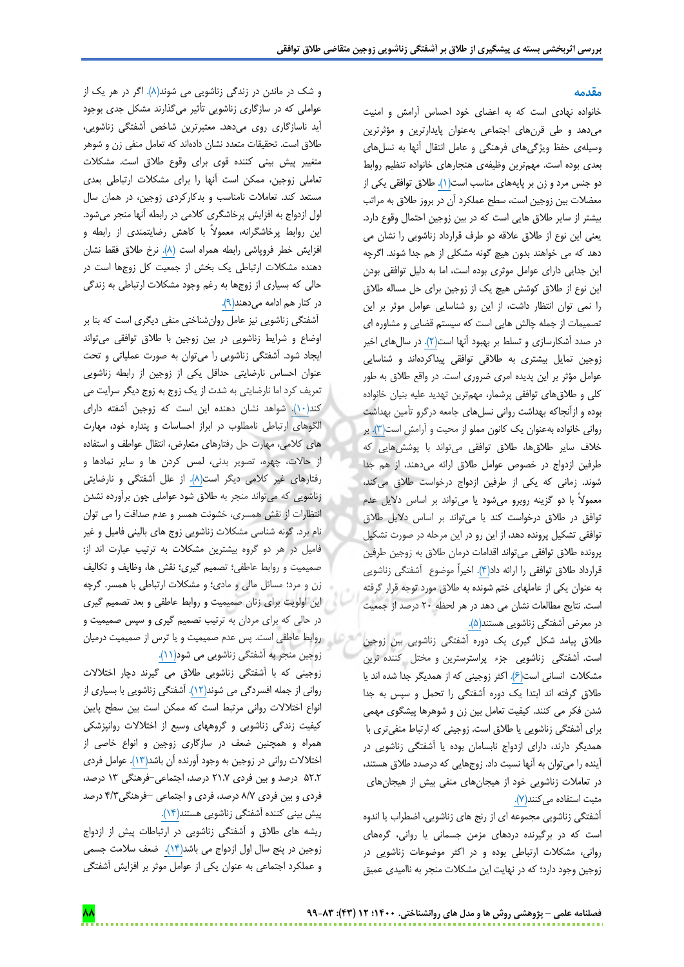#### **مقدمه**

خانواده نهادی است که به اعضای خود احساس آرامش و امنیت میدهد و طی قرنهای اجتماعی بهعنوان پایدارترین و مؤثرترین وسیلهی حفظ ویژگیهای فرهنگی و عامل انتقال آنها به نسلهای بعدی بوده است. مهمترین وظیفهی هنجارهای خانواده تنظیم روابط دو جنس مرد و زن بر پایههای مناسب است)1(. طالق توافقی یکی از معضالت بین زوجین است، سطح عملکرد آن در بروز طالق به مراتب بیشتر از سایر طالق هایی است که در بین زوجین احتمال وقوع دارد. یعنی این نوع از طالق عالقه دو طرف قرارداد زناشویی را نشان می دهد که می خواهند بدون هیچ گونه مشکلی از هم جدا شوند. اگرچه این جدایی دارای عوامل موثری بوده است، اما به دلیل توافقی بودن این نوع از طالق کوشش هیچ یک از زوجین برای حل مساله طالق را نمی توان انتظار داشت، از این رو شناسایی عوامل موثر بر این تصمیمات از جمله چالش هایی است که سیستم قضایی و مشاوره ای در صدد آشکارسازی و تسلط بر بهبود آنها است(۲). در سالهای اخیر زوجین تمایل بیشتری به طالقی توافقی پیداکردهاند و شناسایی عوامل مؤثر بر این پدیده امری ضروری است. در واقع طالق به طور کلی و طالقهای توافقی پرشمار، مهمترین تهدید علیه بنیان خانواده بوده و ازآنجاکه بهداشت روانی نسلهای جامعه درگرو تأمین بهداشت روانی خانواده بهعنوان یک کانون مملو از محبت و آرامش است)3(. بر خالف سایر طالقها، طالق توافقی میتواند با پوششهایی که طرفین ازدواج در خصوص عوامل طالق ارائه میدهند، از هم جدا شوند. زمانی که یکی از طرفین ازدواج درخواست طالق میکند، معموالً با دو گزینه روبرو میشود یا میتواند بر اساس دالیل عدم توافق در طالق درخواست کند یا میتواند بر اساس دالیل طالق توافقی تشکیل پرونده دهد، از این رو در این مرحله در صورت تشکیل پرونده طالق توافقی میتواند اقدامات درمان طالق به زوجین طرفین قرارداد طالق توافقی را ارائه داد)4(. اخیراً موضوع آشفتگی زناشویی به عنوان یکی از عاملهای ختم شونده به طالق مورد توجه قرار گرفته است. نتایج مطالعات نشان می دهد در هر لحظه 20 درصد از جمعیت در معرض آشفتگی زناشویی هستند)5(.

طالق پیامد شکل گیری یک دوره آشفتگی زناشویی بین زوجین است. آشفتگی زناشویی جزء پراسترسترین و مختل کننده ترین مشکالت انسانی است)6(. اکثر زوجینی که از همدیگر جدا شده اند یا طالق گرفته اند ابتدا یک دوره آشفتگی را تحمل و سپس به جدا شدن فکر می کنند. کیفیت تعامل بین زن و شوهرها پیشگوی مهمی برای آشفتگی زناشویی یا طالق است. زوجینی که ارتباط منفیتری با همدیگر دارند، دارای ازدواج نابسامان بوده یا آشفتگی زناشویی در آینده را میتوان به آنها نسبت داد. زوجهایی که درصدد طالق هستند، در تعامالت زناشویی خود از هیجانهای منفی بیش از هیجانهای مثبت استفاده می کنند(٧).

آشفتگی زناشویی مجموعه ای از رنج های زناشویی، اضطراب یا اندوه است که در برگیرنده دردهای مزمن جسمانی یا روانی، گرههای روانی، مشکالت ارتباطی بوده و در اکثر موضوعات زناشویی در زوجین وجود دارد؛ که در نهایت این مشکالت منجر به ناامیدی عمیق

و شک در ماندن در زندگی زناشویی می شوند)8(. اگر در هر یک از عواملی که در سازگاری زناشویی تأثیر میگذارند مشکل جدی بوجود آید ناسازگاری روی میدهد. معتبرترین شاخص آشفتگی زناشویی، طالق است. تحقیقات متعدد نشان دادهاند که تعامل منفی زن و شوهر متغییر پیش بینی کننده قوی برای وقوع طالق است. مشکالت تعاملی زوجین، ممکن است آنها را برای مشکالت ارتباطی بعدی مستعد کند. تعامالت نامناسب و بدکارکردی زوجین، در همان سال اول ازدواج به افزایش پرخاشگری کالمی در رابطه آنها منجر میشود. این روابط پرخاشگرانه، معموالً با کاهش رضایتمندی از رابطه و افزایش خطر فروپاشی رابطه همراه است (٨). نرخ طلاق فقط نشان دهنده مشکالت ارتباطی یک بخش از جمعیت کل زوجها است در حالی که بسیاری از زوجها به رغم وجود مشکالت ارتباطی به زندگی در کنار هم ادامه میدهند)9(.

آشفتگی زناشویی نیز عامل روانشناختی منفی دیگری است که بنا بر اوضاع و شرایط زناشویی در بین زوجین با طالق توافقی میتواند ایجاد شود. آشفتگی زناشویی را میتوان به صورت عملیاتی و تحت عنوان احساس نارضایتی حداقل یکی از زوجین از رابطه زناشویی تعریف کرد اما نارضایتی به شدت از یک زوج به زوج دیگر سرایت می کند(۱۰). شواهد نشان دهنده این است که زوجین آشفته دارای الگوهای ارتباطی نامطلوب در ابراز احساسات و پنداره خود، مهارت های کالمی، مهارت حل رفتارهای متعارض، انتقال عواطف و استفاده از حاالت، چهره، تصویر بدنی، لمس کردن ها و سایر نمادها و رفتارهای غیر کالمی دیگر است)8(. از علل آشفتگی و نارضایتی زناشویی که میتواند منجر به طالق شود عواملی چون برآورده نشدن انتظارات از نقش همسری، خشونت همسر و عدم صداقت را می توان نام برد. گونه شناسی مشکالت زناشویی زوج های بالینی فامیل و غیر فامیل در هر دو گروه بیشترین مشکالت به ترتیب عبارت اند از: صمیمیت و روابط عاطفی؛ تصمیم گیری؛ نقش ها، وظایف و تکالیف زن و مرد؛ مسائل مالی و مادی؛ و مشکالت ارتباطی با همسر. گرچه این اولویت برای زنان صمیمیت و روابط عاطفی و بعد تصمیم گیری در حالی که برای مردان به ترتیب تصمیم گیری و سپس صمیمیت و روابط عاطفی است. پس عدم صمیمیت و یا ترس از صمیمیت درمیان زوجین منجر به آشفتگی زناشویی می شود)11(.

زوجینی که با آشفتگی زناشویی طالق می گیرند دچار اختالالت روانی از جمله افسردگی می شوند)12(. آشفتگی زناشویی با بسیاری از انواع اختالالت روانی مرتبط است که ممکن است بین سطح پایین کیفیت زندگی زناشویی و گروههای وسیع از اختالالت روانپزشکی همراه و همچنین ضعف در سازگاری زوجین و انواع خاصی از اختالالت روانی در زوجین به وجود آورنده آن باشد)13(. عوامل فردی 52.2 درصد و بین فردی 21.7 درصد، اجتماعی-فرهنگی 13 درصد، فردی و بین فردی 8/7 درصد، فردی و اجتماعی –فرهنگی4/3 درصد پیش بینی کننده آشفتگی زناشویی هستند)14(.

ریشه های طالق و آشفتگی زناشویی در ارتباطات پیش از ازدواج زوجین در پنج سال اول ازدواج می باشد)14(. ضعف سالمت جسمی و عملکرد اجتماعی به عنوان یکی از عوامل موثر بر افزایش آشفتگی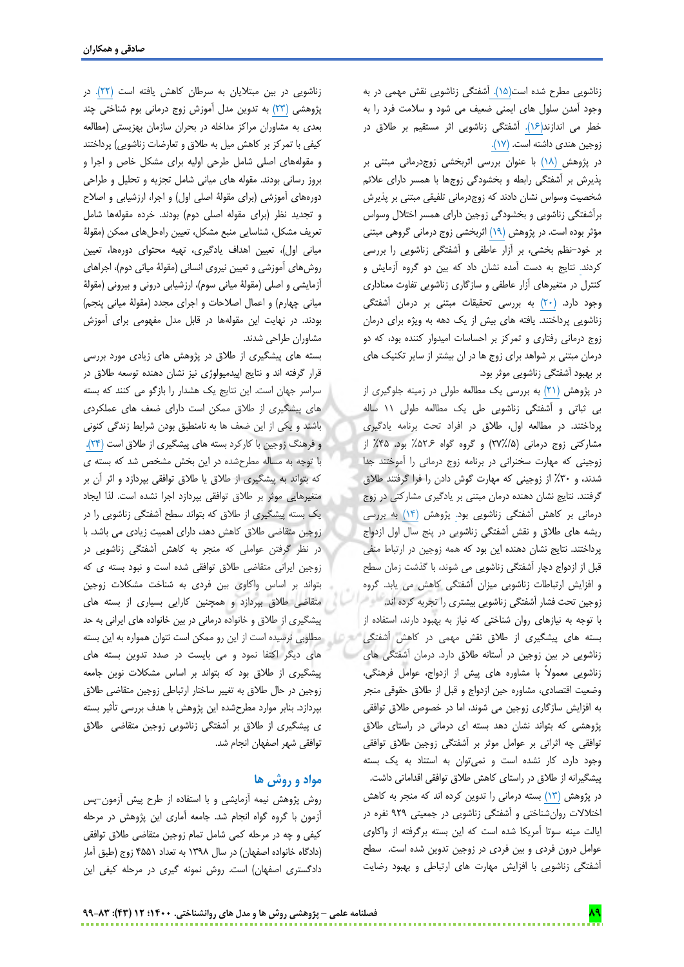زناشویی مطرح شده است)15(. آشفتگی زناشویی نقش مهمی در به وجود آمدن سلول های ایمنی ضعیف می شود و سالمت فرد را به خطر می اندازند)16(. آشفتگی زناشویی اثر مستقیم بر طالق در زوجین هندی داشته است. )17(.

در پژوهش )18( با عنوان بررسی اثربخشی زوجدرمانی مبتنی بر پذیرش بر آشفتگی رابطه و بخشودگی زوجها با همسر دارای عالئم شخصیت وسواس نشان دادند که زوجدرمانی تلفیقی مبتنی بر پذیرش برآشفتگی زناشویی و بخشودگی زوجین دارای همسر اختالل وسواس مؤثر بوده است. در پژوهش )19( اثربخشی زوج درمانی گروهی مبتنی بر خود-نظم بخشی، بر آزار عاطفی و آشفتگی زناشویی را بررسی کردند. نتایج به دست آمده نشان داد که بین دو گروه آزمایش و کنترل در متغیرهای آزار عاطفی و سازگاری زناشویی تفاوت معناداری وجود دارد. )20( به بررسی تحقیقات مبتنی بر درمان آشفتگی زناشویی پرداختند. یافته های بیش از یک دهه به ویژه برای درمان زوج درمانی رفتاری و تمرکز بر احساسات امیدوار کننده بود، که دو درمان مبتنی بر شواهد برای زوج ها در ان بیشتر از سایر تکنیک های بر بهبود آشفتگی زناشویی موثر بود.

در پژوهش )21( به بررسی یک مطالعه طولی در زمینه جلوگیری از بی ثباتی و آشفتگی زناشویی طی یک مطالعه طولی 11 ساله پرداختند. در مطالعه اول، طالق در افراد تحت برنامه یادگیری مشارکتی زوج درمانی )27%/5( و گروه گواه %52.6 بود. %45 از زوجینی که مهارت سخنرانی در برنامه زوج درمانی را آموختند جدا شدند، و %30 از زوجینی که مهارت گوش دادن را فرا گرفتند طالق گرفتند. نتایج نشان دهنده درمان مبتنی بر یادگیری مشارکتی در زوج درمانی بر کاهش آشفتگی زناشویی بود. پژوهش )14( به بررسی ریشه های طالق و نقش آشفتگی زناشویی در پنج سال اول ازدواج پرداختند. نتایج نشان دهنده این بود که همه زوجین در ارتباط منفی قبل از ازدواج دچار آشفتگی زناشویی می شوند، با گذشت زمان سطح و افزایش ارتباطات زناشویی میزان آشفتگی کاهش می یابد. گروه زوجین تحت فشار آشفتگی زناشویی بیشتری را تجربه کرده اند. با توجه به نیازهای روان شناختی که نیاز به بهبود دارند، استفاده از بسته های پیشگیری از طالق نقش مهمی در کاهش آشفتگی زناشویی در بین زوجین در آستانه طالق دارد. درمان آشفتگی های زناشویی معموالً با مشاوره های پیش از ازدواج، عوامل فرهنگی، وضعیت اقتصادی، مشاوره حین ازدواج و قبل از طالق حقوقی منجر به افزایش سازگاری زوجین می شوند، اما در خصوص طالق توافقی پژوهشی که بتواند نشان دهد بسته ای درمانی در راستای طالق توافقی چه اثراتی بر عوامل موثر بر آشفتگی زوجین طالق توافقی وجود دارد، کار نشده است و نمیتوان به استناد به یک بسته پیشگیرانه از طالق در راستای کاهش طالق توافقی اقداماتی داشت. در پژوهش )13( بسته درمانی را تدوین کرده اند که منجر به کاهش اختالالت روانشناختی و آشفتگی زناشویی در جمعیتی 929 نفره در ایالت مینه سوتا آمریکا شده است که این بسته برگرفته از واکاوی عوامل درون فردی و بین فردی در زوجین تدوین شده است. سطح آشفتگی زناشویی با افزایش مهارت های ارتباطی و بهبود رضایت

زناشویی در بین مبتالیان به سرطان کاهش یافته است )22(. در پژوهشی )23( به تدوین مدل آموزش زوج درمانی بوم شناختی چند بعدی به مشاوران مراکز مداخله در بحران سازمان بهزیستی )مطالعه کیفی با تمرکز بر کاهش میل به طلاق و تعارضات زناشویی) پرداختند و مقولههای اصلی شامل طرحی اولیه برای مشکل خاص و اجرا و بروز رسانی بودند. مقوله های میانی شامل تجزیه و تحلیل و طراحی دورههای آموزشی )برای مقولۀ اصلی اول( و اجرا، ارزشیابی و اصالح و تجدید نظر )برای مقوله اصلی دوم( بودند. خرده مقولهها شامل تعریف مشکل، شناسایی منبع مشکل، تعیین راهحلهای ممکن )مقولۀ میانی اول)، تعیین اهداف یادگیری، تهیه محتوای دورهها، تعیین روشهای آموزشی و تعیین نیروی انسانی )مقولۀ میانی دوم(، اجراهای آزمایشی و اصلی (مقولۀ میانی سوم)، ارزشیابی درونی و بیرونی (مقولۀ میانی چهارم) و اعمال اصلاحات و اجرای مجدد (مقولۀ میانی پنجم) بودند. در نهایت این مقولهها در قابل مدل مفهومی برای آموزش مشاوران طراحی شدند.

بسته های پیشگیری از طالق در پژوهش های زیادی مورد بررسی قرار گرفته اند و نتایج اپیدمیولوژی نیز نشان دهنده توسعه طالق در سراسر جهان است. این نتایج یک هشدار را بازگو می کنند که بسته های پیشگیری از طالق ممکن است دارای ضعف های عملکردی باشند و یکی از این ضعف ها به نامنطبق بودن شرایط زندگی کنونی و فرهنگ زوجین با کارکرد بسته های پیشگیری از طالق است )24(. با توجه به مساله مطرحشده در این بخش مشخص شد که بسته ی که بتواند به پیشگیری از طالق یا طالق توافقی بپردازد و اثر آن بر متغیرهایی موثر بر طالق توافقی بپردازد اجرا نشده است. لذا ایجاد یک بسته پیشگیری از طالق که بتواند سطح آشفتگی زناشویی را در زوجین متقاضی طالق کاهش دهد، دارای اهمیت زیادی می باشد. با در نظر گرفتن عواملی که منجر به کاهش آشفتگی زناشویی در زوجین ایرانی متقاضی طالق توافقی شده است و نبود بسته ی که بتواند بر اساس واکاوی بین فردی به شناخت مشکالت زوجین متقاضی طالق بپردازد و همچنین کارایی بسیاری از بسته های پیشگیری از طالق و خانواده درمانی در بین خانواده های ایرانی به حد مطلوبی نرسیده است از این رو ممکن است نتوان همواره به این بسته های دیگر اکتفا نمود و می بایست در صدد تدوین بسته های پیشگیری از طالق بود که بتواند بر اساس مشکالت نوین جامعه زوجین در حال طالق به تغییر ساختار ارتباطی زوجین متقاضی طالق بپردازد. بنابر موارد مطرحشده این پژوهش با هدف بررسی تأثیر بسته ی پیشگیری از طالق بر آشفتگی زناشویی زوجین متقاضی طالق توافقی شهر اصفهان انجام شد.

## **مواد و روش ها**

روش پژوهش نیمه آزمایشی و با استفاده از طرح پیش آزمون-پس آزمون با گروه گواه انجام شد. جامعه آماری این پژوهش در مرحله کیفی و چه در مرحله کمی شامل تمام زوجین متقاضی طالق توافقی )دادگاه خانواده اصفهان( در سال 1398 به تعداد 4551 زوج )طبق آمار دادگستری اصفهان) است. روش نمونه گیری در مرحله کیفی این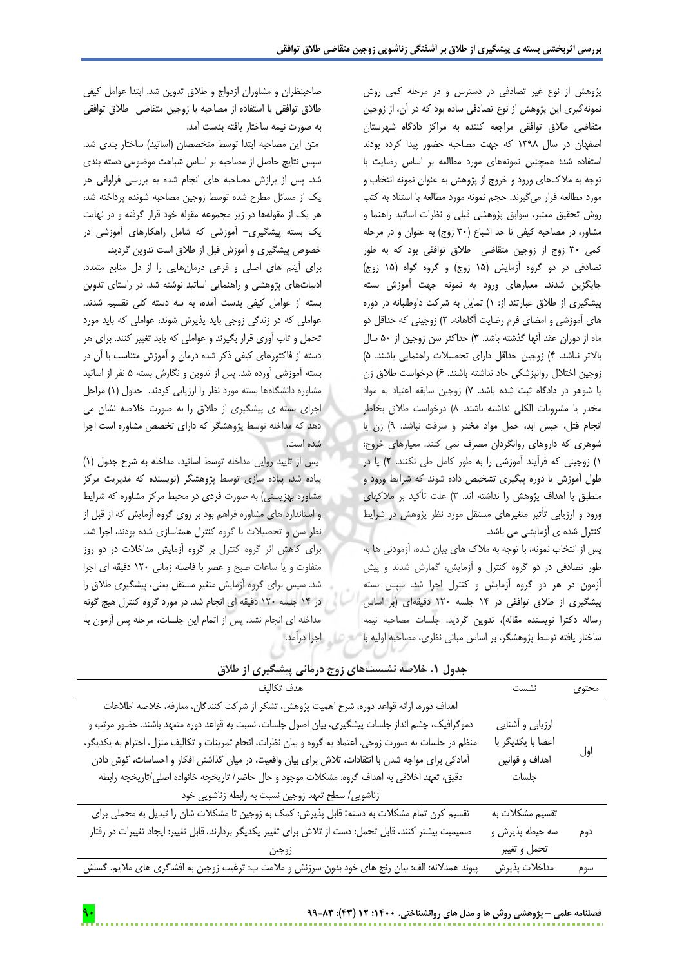پژوهش از نوع غیر تصادفی در دسترس و در مرحله کمی روش نمونهگیری این پژوهش از نوع تصادفی ساده بود که در آن، از زوجین متقاضی طالق توافقی مراجعه کننده به مراکز دادگاه شهرستان اصفهان در سال 1398 که جهت مصاحبه حضور پیدا کرده بودند استفاده شد؛ همچنین نمونههای مورد مطالعه بر اساس رضایت با توجه به مالکهای ورود و خروج از پژوهش به عنوان نمونه انتخاب و مورد مطالعه قرار میگیرند. حجم نمونه مورد مطالعه با استناد به کتب روش تحقیق معتبر، سوابق پژوهشی قبلی و نظرات اساتید راهنما و مشاور، در مصاحبه کیفی تا حد اشباع )30 زوج( به عنوان و در مرحله کمی 30 زوج از زوجین متقاضی طالق توافقی بود که به طور تصادفی در دو گروه آزمایش (۱۵ زوج) و گروه گواه (۱۵ زوج) جایگزین شدند. معیارهای ورود به نمونه جهت آموزش بسته پیشگیری از طالق عبارتند از: 1( تمایل به شرکت داوطلبانه در دوره های آموزشی و امضای فرم رضایت آگاهانه. 2( زوجینی که حداقل دو ماه از دوران عقد آنها گذشته باشد. 3( حداکثر سن زوجین از 50 سال باالتر نباشد. 4( زوجین حداقل دارای تحصیالت راهنمایی باشند. 5( زوجین اختالل روانپزشکی حاد نداشته باشند. 6( درخواست طالق زن یا شوهر در دادگاه ثبت شده باشد. 7( زوجین سابقه اعتیاد به مواد مخدر یا مشروبات الکلی نداشته باشند. 8( درخواست طالق بخاطر انجام قتل، حبس ابد، حمل مواد مخدر و سرقت نباشد. 9( زن یا شوهری که داروهای روانگردان مصرف نمی کنند. معیارهای خروج: 1( زوجینی که فرآیند آموزشی را به طور کامل طی نکنند، 2( یا در طول آموزش یا دوره پیگیری تشخیص داده شوند که شرایط ورود و منطبق با اهداف پژوهش را نداشته اند. 3( علت تأکید بر مالکهای ورود و ارزیابی تأثیر متغیرهای مستقل مورد نظر پژوهش در شرایط کنترل شده ی آزمایشی می باشد.

پس از انتخاب نمونه، با توجه به مالک های بیان شده، آزمودنی ها به طور تصادفی در دو گروه کنترل و آزمایش، گمارش شدند و پیش آزمون در هر دو گروه آزمایش و کنترل اجرا شد. سپس بسته پیشگیری از طالق توافقی در 14 جلسه 120 دقیقهای )بر اساس رساله دکترا نویسنده مقاله)، تدوین گردید. جلسات مصاحبه نیمه ساختار یافته توسط پژوهشگر، بر اساس مبانی نظری، مصاحبه اولیه با اجرا درآمد.

صاحبنظران و مشاوران ازدواج و طالق تدوین شد. ابتدا عوامل کیفی طالق توافقی با استفاده از مصاحبه با زوجین متقاضی طالق توافقی به صورت نیمه ساختار یافته بدست آمد.

متن این مصاحبه ابتدا توسط متخصصان (اساتید) ساختار بندی شد. سپس نتایج حاصل از مصاحبه بر اساس شباهت موضوعی دسته بندی شد. پس از برازش مصاحبه های انجام شده به بررسی فراوانی هر یک از مسائل مطرح شده توسط زوجین مصاحبه شونده پرداخته شد، هر یک از مقولهها در زیر مجموعه مقوله خود قرار گرفته و در نهایت یک بسته پیشگیری- آموزشی که شامل راهکارهای آموزشی در خصوص پیشگیری و آموزش قبل از طالق است تدوین گردید.

برای آیتم های اصلی و فرعی درمانهایی را از دل منابع متعدد، ادبیاتهای پژوهشی و راهنمایی اساتید نوشته شد. در راستای تدوین بسته از عوامل کیفی بدست آمده، به سه دسته کلی تقسیم شدند. عواملی که در زندگی زوجی باید پذیرش شوند، عواملی که باید مورد تحمل و تاب آوری قرار بگیرند و عواملی که باید تغییر کنند. برای هر دسته از فاکتورهای کیفی ذکر شده درمان و آموزش متناسب با آن در بسته آموزشی آورده شد. پس از تدوین و نگارش بسته 5 نفر از اساتید مشاوره دانشگاهها بسته مورد نظر را ارزیابی کردند. جدول )1( مراحل اجرای بسته ی پیشگیری از طالق را به صورت خالصه نشان می دهد که مداخله توسط پژوهشگر که دارای تخصص مشاوره است اجرا شده است.

پس از تایید روایی مداخله توسط اساتید، مداخله به شرح جدول )1( پیاده شد، پیاده سازی توسط پژوهشگر )نویسنده که مدیریت مرکز مشاوره بهزیستی) به صورت فردی در محیط مرکز مشاوره که شرایط و استاندارد های مشاوره فراهم بود بر روی گروه آزمایش که از قبل از نظر سن و تحصیالت با گروه کنترل همتاسازی شده بودند، اجرا شد. برای کاهش اثر گروه کنترل بر گروه آزمایش مداخالت در دو روز متفاوت و یا ساعات صبح و عصر با فاصله زمانی 120 دقیقه ای اجرا شد. سپس برای گروه آزمایش متغیر مستقل یعنی، پیشگیری طالق را در 14 جلسه 120 دقیقه ای انجام شد. در مورد گروه کنترل هیچ گونه مداخله ای انجام نشد. پس از اتمام این جلسات، مرحله پس آزمون به

| اهداف دوره، ارائه قواعد دوره، شرح اهميت پژوهش، تشكر از شركت كنندگان، معارفه، خلاصه اطلاعات<br>دموگرافیک، چشم انداز جلسات پیشگیری، بیان اصول جلسات. نسبت به قواعد دوره متعهد باشند. حضور مرتب و<br>ارزيابي و أشنايي<br>منظم در جلسات به صورت زوجی، اعتماد به گروه و بیان نظرات، انجام تمرینات و تکالیف منزل، احترام به یکدیگر،<br>اعضا با يكديگر با<br>اول | هدف تكاليف                                                                                         | نشست           | محتوى |
|-----------------------------------------------------------------------------------------------------------------------------------------------------------------------------------------------------------------------------------------------------------------------------------------------------------------------------------------------------------|----------------------------------------------------------------------------------------------------|----------------|-------|
|                                                                                                                                                                                                                                                                                                                                                           |                                                                                                    |                |       |
|                                                                                                                                                                                                                                                                                                                                                           |                                                                                                    |                |       |
|                                                                                                                                                                                                                                                                                                                                                           |                                                                                                    |                |       |
|                                                                                                                                                                                                                                                                                                                                                           | آمادگی برای مواجه شدن با انتقادات، تلاش برای بیان واقعیت، در میان گذاشتن افکار و احساسات، گوش دادن | اهداف و قوانين |       |
| دقیق، تعهد اخلاقی به اهداف گروه. مشکلات موجود و حال حاضر/ تاریخچه خانواده اصلی/تاریخچه رابطه<br>جلسات                                                                                                                                                                                                                                                     |                                                                                                    |                |       |
| زناشویی/ سطح تعهد زوجین نسبت به رابطه زناشویی خود                                                                                                                                                                                                                                                                                                         |                                                                                                    |                |       |
| تقسیم کرن تمام مشکلات به دسته: قابل پذیرش: کمک به زوجین تا مشکلات شان را تبدیل به محملی برای<br>تقسیم مشکلات به                                                                                                                                                                                                                                           |                                                                                                    |                |       |
| سه حيطه پذيرش و<br>صمیمیت بیشتر کنند. قابل تحمل: دست از تلاش برای تغییر یکدیگر بردارند. قابل تغییر: ایجاد تغییرات در رفتار<br>دوم                                                                                                                                                                                                                         |                                                                                                    |                |       |
| تحمل و تغيير                                                                                                                                                                                                                                                                                                                                              |                                                                                                    |                |       |
| مداخلات پذيرش<br>پیوند همدلانه: الف: بیان رنج های خود بدون سرزنش و ملامت ب: ترغیب زوجین به افشاگری های ملایم. گسلش<br>سوم                                                                                                                                                                                                                                 |                                                                                                    |                |       |

## **جدول .1 خالصه نشستهای زوج درمانی پیشگیری از طالق**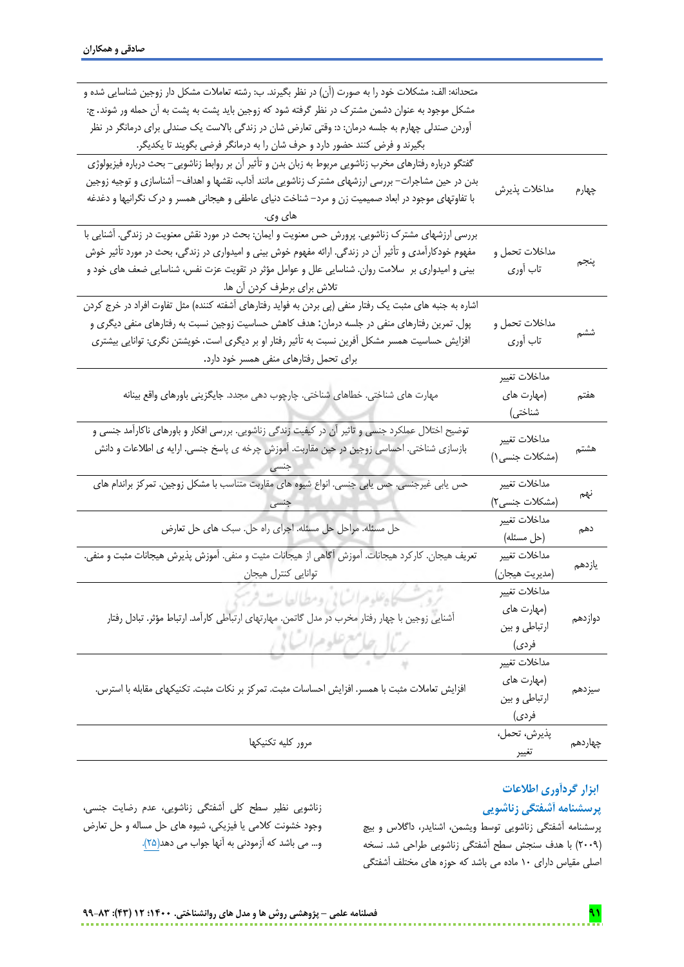| متحدانه: الف: مشكلات خود را به صورت (آن) در نظر بگیرند. ب: رشته تعاملات مشكل دار زوجین شناسایی شده و     |                 |         |
|----------------------------------------------------------------------------------------------------------|-----------------|---------|
| مشکل موجود به عنوان دشمن مشترک در نظر گرفته شود که زوجین باید پشت به پشت به آن حمله ور شوند. ج:          |                 |         |
| آوردن صندلی چهارم به جلسه درمان: د: وقتی تعارض شان در زندگی بالاست یک صندلی برای درمانگر در نظر          |                 |         |
| بگیرند و فرض کنند حضور دارد و حرف شان را به درمانگر فرضی بگویند تا یکدیگر.                               |                 |         |
| گفتگو درباره رفتارهای مخرب زناشویی مربوط به زبان بدن و تأثیر آن بر روابط زناشویی– بحث درباره فیزیولوژی   |                 |         |
| بدن در حین مشاجرات– بررسی ارزشهای مشترک زناشویی مانند آداب، نقشها و اهداف– آشناسازی و توجیه زوجین        |                 |         |
| با تفاوتهای موجود در ابعاد صمیمیت زن و مرد– شناخت دنیای عاطفی و هیجانی همسر و درک نگرانیها و دغدغه       | مداخلات پذيرش   | چهارم   |
| های وی.                                                                                                  |                 |         |
| بررسی ارزشهای مشترک زناشویی. پرورش حس معنویت و ایمان: بحث در مورد نقش معنویت در زندگی. آشنایی با         |                 |         |
| مفهوم خودکارآمدی و تأثیر آن در زندگی. ارائه مفهوم خوش بینی و امیدواری در زندگی، بحث در مورد تأثیر خوش    | مداخلات تحمل و  |         |
| بینی و امیدواری بر   سلامت روان. شناسایی علل و عوامل مؤثر در تقویت عزت نفس، شناسایی ضعف های خود و        | تاب آوري        | پنجم    |
| تلاش براي برطرف كردن أن ها.                                                                              |                 |         |
| اشاره به جنبه های مثبت یک رفتار منفی (پی بردن به فواید رفتارهای آشفته کننده) مثل تفاوت افراد در خرج کردن |                 |         |
| پول. تمرین رفتارهای منفی در جلسه درمان: هدف کاهش حساسیت زوجین نسبت به رفتارهای منفی دیگری و              | مداخلات تحمل و  |         |
| افزایش حساسیت همسر مشکل آفرین نسبت به تأثیر رفتار او بر دیگری است. خویشتن نگری: توانایی بیشتری           | تاب أوري        | ششم     |
| برای تحمل رفتارهای منفی همسر خود دارد.                                                                   |                 |         |
|                                                                                                          | مداخلات تغيير   |         |
| مهارت های شناختی. خطاهای شناختی. چارچوب دهی مجدد. جایگزینی باورهای واقع بینانه                           | (مهارت های      | هفتم    |
|                                                                                                          | شناختی)         |         |
|                                                                                                          |                 |         |
| توضیح اختلال عملکرد جنسی و تاثیر آن در کیفیت زندگی زناشویی. بررسی افکار و باورهای ناکارآمد جنسی و        |                 |         |
| بازسازی شناختی. احساسی زوجین در حین مقاربت. اَموزش چرخه ی پاسخ جنسی. ارایه ی اطلاعات و دانش              | مداخلات تغيير   | هشتم    |
|                                                                                                          | (مشكلات جنسى ١) |         |
| حس یابی غیرجنسی. حس یابی جنسی. انواع شیوه های مقاربت متناسب با مشکل زوجین. تمرکز براندام های             | مداخلات تغيير   |         |
|                                                                                                          | (مشكلات جنسى٢)  | نهم     |
|                                                                                                          | مداخلات تغيير   |         |
| حل مسئله. مراحل حل مسئله. اجراي راه حل. سبک هاي حل تعارض                                                 | (حل مسئله)      | دهم     |
| تعریف هیجان. کارکرد هیجانات. آموزش آگاهی از هیجانات مثیت و منفی. آموزش پذیرش هیجانات مثبت و منفی.        | مداخلات تغيير   |         |
| توانايي كنترل هيجان                                                                                      | (مديريت هيجان)  | يازدهم  |
|                                                                                                          | مداخلات تغيير   |         |
| بروسكسكاه علوهرا لساتي ومطيالعات                                                                         | (مهارت های      |         |
| آشنایی زوجین با چهار رفتار مخرب در مدل گاتمن. مهارتهای ارتباطی کارآمد. ارتباط مؤثر. تبادل رفتار          | ارتباطي وبين    | دوازدهم |
|                                                                                                          | فردى)           |         |
| رئال جامع علوم الشاني                                                                                    | مداخلات تغيير   |         |
|                                                                                                          | (مهارت های      |         |
| افزایش تعاملات مثبت با همسر. افزایش احساسات مثبت. تمرکز بر نکات مثبت. تکنیکهای مقابله با استرس.          | ارتباطي وبين    | سيزدهم  |
|                                                                                                          | فردى)           |         |
| مرور كليه تكنيكها                                                                                        | پذيرش، تحمل،    | چهاردهم |

## **ابزار گردآوری اطالعات**

## **پرسشنامه آشفتگی زناشویی**

پرسشنامه آشفتگی زناشویی توسط ویشمن، اشنایدر، داگالس و بیچ )2009( با هدف سنجش سطح آشفتگی زناشویی طراحی شد. نسخه اصلی مقیاس دارای 10 ماده می باشد که حوزه های مختلف آشفتگی

زناشویی نظیر سطح کلی آشفتگی زناشویی، عدم رضایت جنسی، وجود خشونت کالمی یا فیزیکی، شیوه های حل مساله و حل تعارض و… می باشد که آزمودنی به آنها جواب می دهد<u>(۲۵</u>).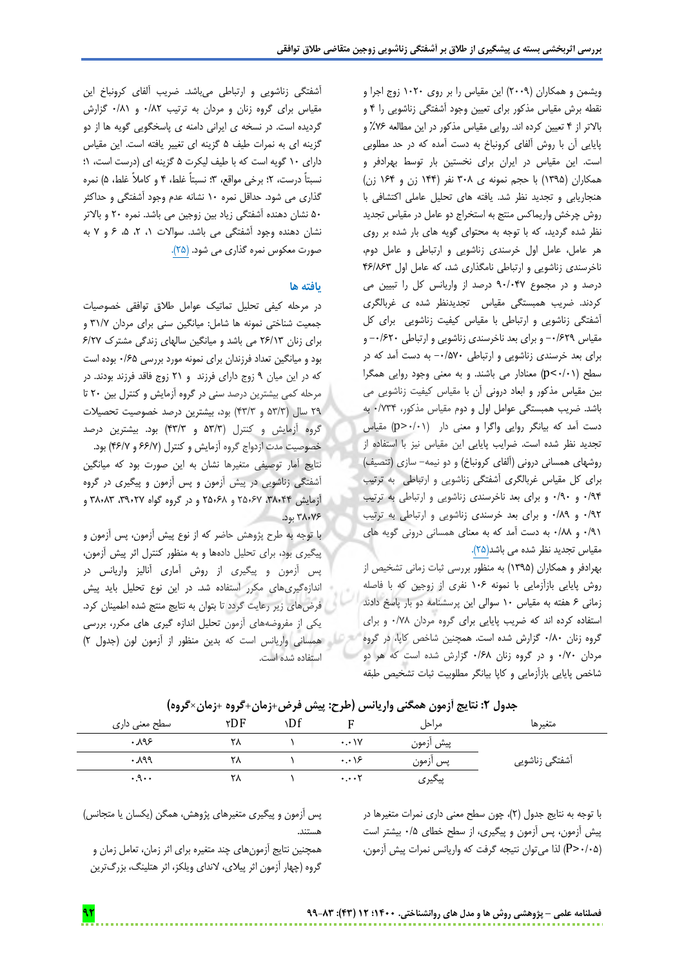ویشمن و همکاران )2009( این مقیاس را بر روی 1020 زوج اجرا و نقطه برش مقیاس مذکور برای تعیین وجود آشفتگی زناشویی را 4 و باالتر از 4 تعیین کرده اند. روایی مقیاس مذکور در این مطالعه %76 و پایایی آن با روش آلفای کرونباخ به دست آمده که در حد مطلوبی است. این مقیاس در ایران برای نخستین بار توسط بهرادفر و همکاران )1395( با حجم نمونه ی 308 نفر )144 زن و 164 زن( هنجاریابی و تجدید نظر شد. یافته های تحلیل عاملی اکتشافی با روش چرخش واریماکس منتج به استخراج دو عامل در مقیاس تجدید نظر شده گردید، که با توجه به محتوای گویه های بار شده بر روی هر عامل، عامل اول خرسندی زناشویی و ارتباطی و عامل دوم، ناخرسندی زناشویی و ارتباطی نامگذاری شد، که عامل اول 46/863 درصد و در مجموع 90/047 درصد از واریانس کل را تبیین می کردند. ضریب همبستگی مقیاس تجدیدنظر شده ی غربالگری آشفتگی زناشویی و ارتباطی با مقیاس کیفیت زناشویی برای کل مقیاس -0/629 و برای بعد ناخرسندی زناشویی و ارتباطی -0/620 و برای بعد خرسندی زناشویی و ارتباطی -0/570 به دست آمد که در سطح )0/01<p )معنادار می باشند. و به معنی وجود روایی همگرا بین مقیاس مذکور و ابعاد درونی آن با مقیاس کیفیت زناشویی می باشد. ضریب همبستگی عوامل اول و دوم مقیاس مذکور، 0/734 به دست آمد که بیانگر روایی واگرا و معنی دار )0/01>p )مقیاس تجدید نظر شده است. ضرایب پایایی این مقیاس نیز با استفاده از روشهای همسانی درونی (آلفای کرونباخ) و دو نیمه- سازی (تنصیف) برای کل مقیاس غربالگری آشفتگی زناشویی و ارتباطی به ترتیب 0/94 و 0/90 و برای بعد ناخرسندی زناشویی و ارتباطی به ترتیب 0/92 و 0/89 و برای بعد خرسندی زناشویی و ارتباطی به ترتیب 0/91 و 0/88 به دست آمد که به معنای همسانی درونی گویه های مقیاس تجدید نظر شده می باشد)25(.

بهرادفر و همکاران )1395( به منظور بررسی ثبات زمانی تشخیص از روش پایایی بازآزمایی با نمونه 106 نفری از زوجین که با فاصله زمانی 6 هفته به مقیاس 10 سوالی این پرسشنامه دو بار پاسخ دادند استفاده کرده اند که ضریب پایایی برای گروه مردان 0/78 و برای گروه زنان 0/80 گزارش شده است. همچنین شاخص کاپا، در گروه مردان 0/70 و در گروه زنان 0/68 گزارش شده است که هر دو شاخص پایایی بازآزمایی و کاپا بیانگر مطلوبیت ثبات تشخیص طبقه

آشفتگی زناشویی و ارتباطی میباشد. ضریب آلفای کرونباخ این مقیاس برای گروه زنان و مردان به ترتیب 0/82 و 0/81 گزارش گردیده است. در نسخه ی ایرانی دامنه ی پاسخگویی گویه ها از دو گزینه ای به نمرات طیف 5 گزینه ای تغییر یافته است. این مقیاس دارای 10 گویه است که با طیف لیکرت 5 گزینه ای )درست است، 1؛ نسبتاً درست، 2؛ برخی مواقع، 3؛ نسبتاً غلط، 4 و کامالً غلط، 5( نمره گذاری می شود. حداقل نمره 10 نشانه عدم وجود آشفتگی و حداکثر 50 نشان دهنده آشفتگی زیاد بین زوجین می باشد. نمره 20 و باالتر نشان دهنده وجود آشفتگی می باشد. سواالت ،1 ،2 ،5 6 و 7 به صورت معکوس نمره گذاری می شود. (۲۵).

## **یافته ها**

در مرحله کیفی تحلیل تماتیک عوامل طالق توافقی خصوصیات جمعیت شناختی نمونه ها شامل: میانگین سنی برای مردان 31/7 و برای زنان 26/13 می باشد و میانگین سالهای زندگی مشترک 6/27 بود و میانگین تعداد فرزندان برای نمونه مورد بررسی 0/65 بوده است که در این میان 9 زوج دارای فرزند و 21 زوج فاقد فرزند بودند. در مرحله کمی بیشترین درصد سنی در گروه آزمایش و کنترل بین 20 تا 29 سال )53/3 و 43/3( بود، بیشترین درصد خصوصیت تحصیالت گروه آزمایش و کنترل )53/3 و 43/3( بود. بیشترین درصد خصوصیت مدت ازدواج گروه آزمایش و کنترل )66/7 و 46/7( بود. نتایج آمار توصیفی متغیرها نشان به این صورت بود که میانگین آشفتگی زناشویی در پیش آزمون و پس آزمون و پیگیری در گروه آزمایش ۳۸٫۴۴، ۲۵٫۶۷ و ۶۸٫۶۸ و در گروه گواه ۳۸٫۸۳، ۳۸٫۸۳ و 38٫76 بود.

با توجه به طرح پژوهش حاضر که از نوع پیش آزمون، پس آزمون و پیگیری بود، برای تحلیل دادهها و به منظور کنترل اثر پیش آزمون، پس آزمون و پیگیری از روش آماری آنالیز واریانس در اندازهگیریهای مکرر استفاده شد. در این نوع تحلیل باید پیش فرضهای زیر رعایت گردد تا بتوان به نتایج منتج شده اطمینان کرد. یکی از مفروضههای آزمون تحلیل اندازه گیری های مکرر، بررسی همسانی واریانس است که بدین منظور از آزمون لون )جدول 2( استفاده شده است.

| سطح معنی داری | ۲DF | ۱Df |                          | مراحل     | متغيرها        |
|---------------|-----|-----|--------------------------|-----------|----------------|
| ۹۶.۰          | ٢٨  |     | $\cdot \cdot \cdot \vee$ | پیش ازمون |                |
| ۱۹۹.          | ۲۸  |     | $\cdot \cdot \cdot$ ۶    | پس ازمون  | آشفتگی زناشویی |
| .9            | ۲۸  |     | $\cdots$ T               | پیگیری    |                |

**جدول :2 نتایج آزمون همگنی واریانس )طرح: پیش فرض+زمان+گروه +زمان×گروه(**

با توجه به نتایج جدول )2(، چون سطح معنی داری نمرات متغیرها در پیش آزمون، پس آزمون و پیگیری، از سطح خطای 0/5 بیشتر است )0/05<P )لذا میتوان نتیجه گرفت که واریانس نمرات پیش آزمون،

پس آزمون و پیگیری متغیرهای پژوهش، همگن )یکسان یا متجانس( هستند.

همچنین نتایج آزمونهای چند متغیره برای اثر زمان، تعامل زمان و گروه (چهار آزمون اثر پیلای، لاندای ویلکز، اثر هتلینگ، بزرگترین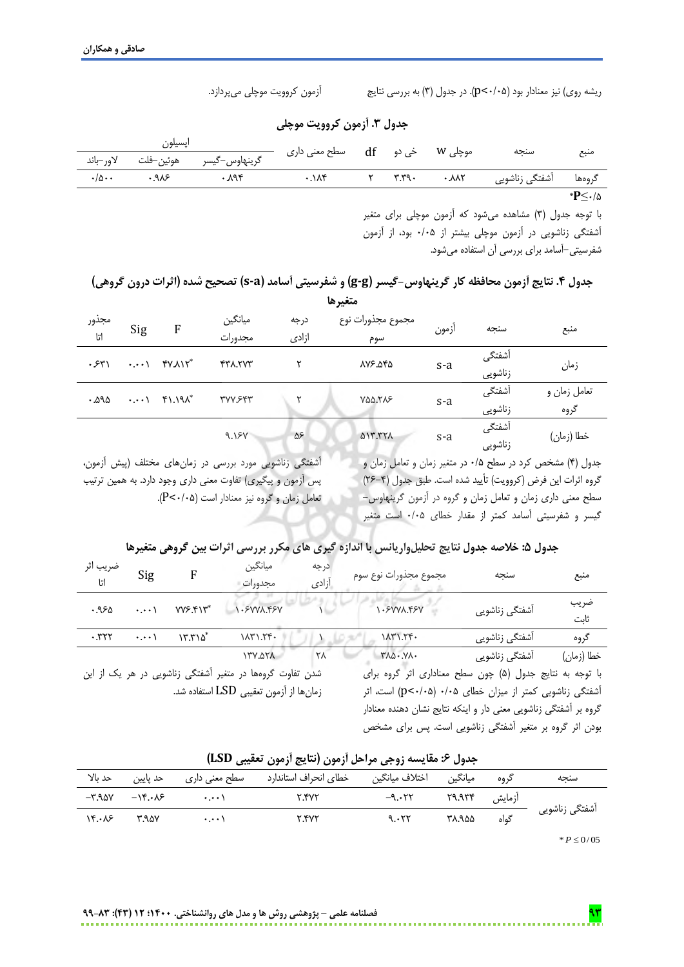ریشه روی( نیز معنادار بود )0/05<p). در جدول )3( به بررسی نتایج آزمون کروویت موچلی میپردازد.

**جدول .3 آزمون کروویت موچلی**

|                            | اپسيلون     |                                   |                                                    |  |      |        |
|----------------------------|-------------|-----------------------------------|----------------------------------------------------|--|------|--------|
|                            |             | گرينهاوس–گيسر هوئين–فلت لاور–باند | موچلی W       خی دو       df         سطح معنی داری |  | سنجه | منبع   |
| $\cdot/\Delta \cdot \cdot$ | $\cdot$ 918 | $\cdot$ $\lambda$ 94              | $\cdot$ . $\wedge$ $\wedge$                        |  |      |        |
|                            |             |                                   |                                                    |  |      | *P≤∙/۵ |

با توجه جدول )3( مشاهده میشود که آزمون موچلی برای متغیر آشفتگی زناشویی در آزمون موچلی بیشتر از 0/05 بود، از آزمون شفرسیتی-آسامد برای بررسی آن استفاده میشود.

## **جدول .4 نتایج آزمون محافظه کار گرینهاوس-گیسر )g-g )و شفرسیتی آسامد )a-s )تصحیح شده )اثرات درون گروهی( متغیرها**

| مجذور<br>اتا | Sig | ${\rm F}$                                                                             | ميانگين<br>مجدورات | درجه<br>ازادى | مجموع مجذورات نوع<br>سوم | ازمون   | سنجه              | منبع                 |
|--------------|-----|---------------------------------------------------------------------------------------|--------------------|---------------|--------------------------|---------|-------------------|----------------------|
| .54          |     | $\cdots$ $\uparrow$ $\uparrow$ $\uparrow$ $\uparrow$ $\uparrow$ $\uparrow$            | <b>FTA.TVT</b>     |               | ٨٧۶.٥۴۵                  | $s-a$   | آشفتگی<br>زناشويى | زمان                 |
| .292         |     | $\cdot \cdot \cdot$ $\uparrow$ $\uparrow$ $\uparrow$ $\uparrow$ $\uparrow$ $\uparrow$ | <b>TVVSFT</b>      |               | YQQ.TAS                  | $S - a$ | آشفتگی<br>زناشويي | تعامل زمان و<br>گروه |
|              |     |                                                                                       | 9.15V              | $\Delta \xi$  | <b>AIT. TTA</b>          | $S - a$ | أشفتگى<br>زناشويى | خطا (زمان)           |

آشفتگی زناشویی مورد بررسی در زمانهای مختلف )پیش آزمون، پس آزمون و پیگیری) تفاوت معنی داری وجود دارد. به همین ترتیب تعامل زمان و گروه نیز معنادار است (P<۰/۰۵). جدول )4( مشخص کرد در سطح 0/5 در متغیر زمان و تعامل زمان و گروه اثرات این فرض (کروویت) تأیید شده است. طبق جدول (۴–۲۶) سطح معنی داری زمان و تعامل زمان و گروه در آزمون گرینهاوس- گیسر و شفرسیتی آسامد کمتر از مقدار خطای 0/05 است متغیر

## **جدول :5 خالصه جدول نتایج تحلیلواریانس با اندازه گیری های مکرر بررسی اثرات بین گروهی متغیرها**

| ضريب اثر<br>اتا | Sig                 | F                                  | ميانگين<br>مجدورات                                                                                 | درجه<br>أزادى | مجموع مجذورات نوع سوم                                                                                                                                                                    | سنجه           | منبع         |
|-----------------|---------------------|------------------------------------|----------------------------------------------------------------------------------------------------|---------------|------------------------------------------------------------------------------------------------------------------------------------------------------------------------------------------|----------------|--------------|
| .950            | $\cdot \cdot \cdot$ | <b>VVS.FIT*</b>                    | 1.8VVA.48V                                                                                         |               | 1.5VVA.45V                                                                                                                                                                               | أشفتگي زناشويي | ضريب<br>ثابت |
| .777            | $\cdot$ . $\cdot$ \ | $\Upsilon$ , $\Upsilon$ $\Delta^*$ | YY, YYY                                                                                            |               | 1171.79.                                                                                                                                                                                 | آشفتگی زناشویی | گروه         |
|                 |                     |                                    | <b>A76.771</b>                                                                                     | ٢٨            | $Y\lambda\Delta\cdot.\mathsf{Y}\lambda\cdot$                                                                                                                                             | أشفتگي زناشويي | خطا (زمان)   |
|                 |                     |                                    | شدن تفاوت گروهها در متغیر آشفتگی زناشویی در هر یک از این<br>زمانها از آزمون تعقیبی LSD استفاده شد. |               | با توجه به نتايج جدول (۵) چون سطح معناداري اثر گروه براي<br>آشفتگی زناشویی کمتر از میزان خطای ۰/۰۵ (p<۰/۰۵) است، اثر<br>گروه بر آشفتگی زناشویی معنی دار و اینکه نتایج نشان دهنده معنادار |                |              |

بودن اثر گروه بر متغیر آشفتگی زناشویی است. پس برای مشخص

| سنجه                       | گروه   | ميانگين | اختلاف ميانگين    | خطاي انحراف استاندارد | سطح معنی داری | حد پایین                         | حد بالا                       |
|----------------------------|--------|---------|-------------------|-----------------------|---------------|----------------------------------|-------------------------------|
|                            | أزمايش |         | $-9.177$ $79.977$ | <b>Y.YYY</b>          | $\cdots$      | $-\mathcal{N} \cdot \mathcal{N}$ | $-$ ۳.۹۵۷                     |
| آشفتگی زناشویی             | گەاە   | ۳۸.۹۵۵  | 9.577             | <b>Y.YYY</b>          | $\cdots$      | raav                             | $Y^{\mu} \cdot \lambda^{\mu}$ |
| $\cdots$ $\cdots$ $\cdots$ |        |         |                   |                       |               |                                  |                               |

|  |  |  |  |  |  |  | جدول ۶: مقايسه زوجي مراحل أزمون (نتايج أزمون تعقيبي LSD) |  |
|--|--|--|--|--|--|--|----------------------------------------------------------|--|
|--|--|--|--|--|--|--|----------------------------------------------------------|--|

 $P \le 0/05$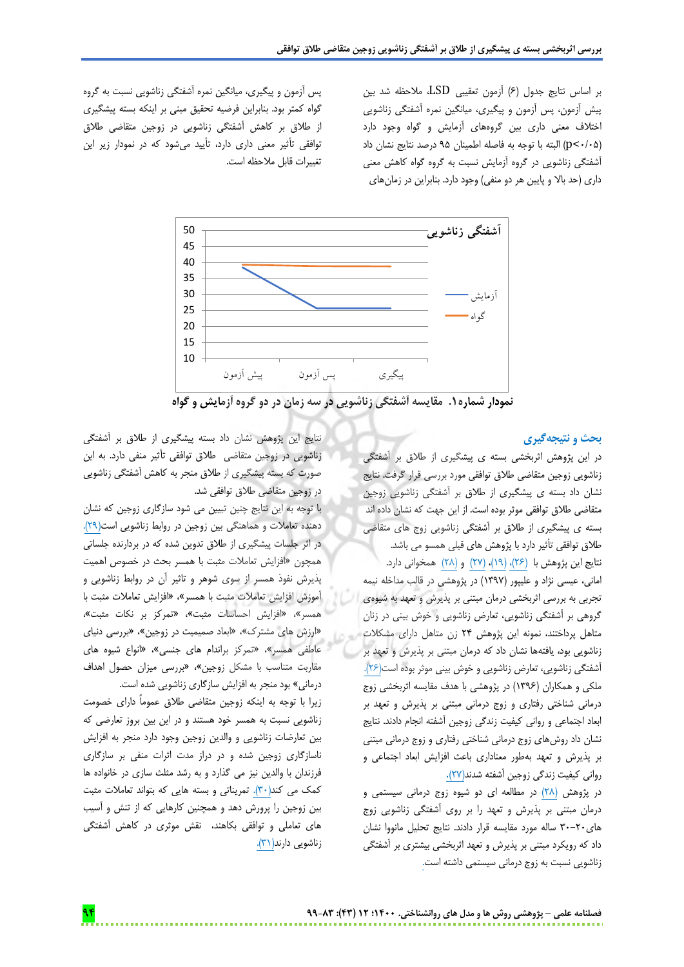بر اساس نتایج جدول )6( آزمون تعقیبی LSD، مالحظه شد بین پیش آزمون، پس آزمون و پیگیری، میانگین نمره آشفتگی زناشویی اختالف معنی داری بین گروههای آزمایش و گواه وجود دارد )0/05<p )البته با توجه به فاصله اطمینان 95 درصد نتایج نشان داد آشفتگی زناشویی در گروه آزمایش نسبت به گروه گواه کاهش معنی داری (حد بالا و پایین هر دو منفی) وجود دارد. بنابراین در زمانهای

پس آزمون و پیگیری، میانگین نمره آشفتگی زناشویی نسبت به گروه گواه کمتر بود. بنابراین فرضیه تحقیق مبنی بر اینکه بسته پیشگیری از طالق بر کاهش آشفتگی زناشویی در زوجین متقاضی طالق توافقی تأثیر معنی داری دارد، تأیید میشود که در نمودار زیر این تغییرات قابل مالحظه است.



**نمودار شماره.1 مقایسه آشفتگی زناشویی در سه زمان در دو گروه آزمایش و گواه**

#### **بحث و نتیجهگیری**

در این پژوهش اثربخشی بسته ی پیشگیری از طالق بر آشفتگی زناشویی زوجین متقاضی طالق توافقی مورد بررسی قرار گرفت. نتایج نشان داد بسته ی پیشگیری از طالق بر آشفتگی زناشویی زوجین متقاضی طالق توافقی موثر بوده است. از این جهت که نشان داده اند بسته ی پیشگیری از طالق بر آشفتگی زناشویی زوج های متقاضی طالق توافقی تأثیر دارد با پژوهش های قبلی همسو می باشد. نتایج این پژوهش با )26(، )19(، )27( و )28( همخوانی دارد. امانی، عیسی نژاد و علیپور )1397( در پژوهشی در قالب مداخله نیمه تجربی به بررسی اثربخشی درمان مبتنی بر پذیرش و تعهد به شیوهی گروهی بر آشفتگی زناشویی، تعارض زناشویی و خوش بینی در زنان متاهل پرداختند، نمونه این پژوهش 24 زن متاهل دارای مشکالت زناشویی بود، یافتهها نشان داد که درمان مبتنی بر پذیرش و تعهد بر آشفتگی زناشویی، تعارض زناشویی و خوش بینی موثر بوده است)26(. ملکی و همکاران )1396( در پژوهشی با هدف مقایسه اثربخشی زوج درمانی شناختی رفتاری و زوج درمانی مبتنی بر پذیرش و تعهد بر ابعاد اجتماعی و روانی کیفیت زندگی زوجین آشفته انجام دادند. نتایج نشان داد روشهای زوج درمانی شناختی رفتاری و زوج درمانی مبتنی بر پذیرش و تعهد بهطور معناداری باعث افزایش ابعاد اجتماعی و روانی کیفیت زندگی زوجین آشفته شدند)27(.

در پژوهش )28( در مطالعه ای دو شیوه زوج درمانی سیستمی و درمان مبتنی بر پذیرش و تعهد را بر روی آشفتگی زناشویی زوج های30-20 ساله مورد مقایسه قرار دادند. نتایج تحلیل مانووا نشان داد که رویکرد مبتنی بر پذیرش و تعهد اثربخشی بیشتری بر آشفتگی زناشویی نسبت به زوج درمانی سیستمی داشته است.

نتایج این پژوهش نشان داد بسته پیشگیری از طالق بر آشفتگی زناشویی در زوجین متقاضی طالق توافقی تأثیر منفی دارد. به این صورت که بسته پیشگیری از طالق منجر به کاهش آشفتگی زناشویی در زوجین متقاضی طالق توافقی شد.

با توجه به این نتایج چنین تبیین می شود سازگاری زوجین که نشان دهنده تعامالت و هماهنگی بین زوجین در روابط زناشویی است)29(. در اثر جلسات پیشگیری از طالق تدوین شده که در بردارنده جلساتی همچون »افزایش تعامالت مثبت با همسر بحث در خصوص اهمیت پذیرش نفوذ همسر از سوی شوهر و تاثیر آن در روابط زناشویی و آموزش افزایش تعامالت مثبت با همسر«، »افزایش تعامالت مثبت با همسر«، »افزایش احساسات مثبت«، »تمرکز بر نکات مثبت«، »ارزش های مشترک«، »ابعاد صمیمیت در زوجین«، »بررسی دنیای عاطفی همسر»، «تمرکز براندام های جنسی»، «انواع شیوه های مقاربت متناسب با مشکل زوجین«، »بررسی میزان حصول اهداف درمانی« بود منجر به افزایش سازگاری زناشویی شده است.

زیرا با توجه به اینکه زوجین متقاضی طالق عموماً دارای خصومت زناشویی نسبت به همسر خود هستند و در این بین بروز تعارضی که بین تعارضات زناشویی و والدین زوجین وجود دارد منجر به افزایش ناسازگاری زوجین شده و در دراز مدت اثرات منفی بر سازگاری فرزندان با والدین نیز می گذارد و به رشد مثلث سازی در خانواده ها کمک می کند(٣٠). تمریناتی و بسته هایی که بتواند تعاملات مثبت بین زوجین را پرورش دهد و همچنین کارهایی که از تنش و آسیب های تعاملی و توافقی بکاهند، نقش موثری در کاهش آشفتگی زناشویی دارند(۳۱).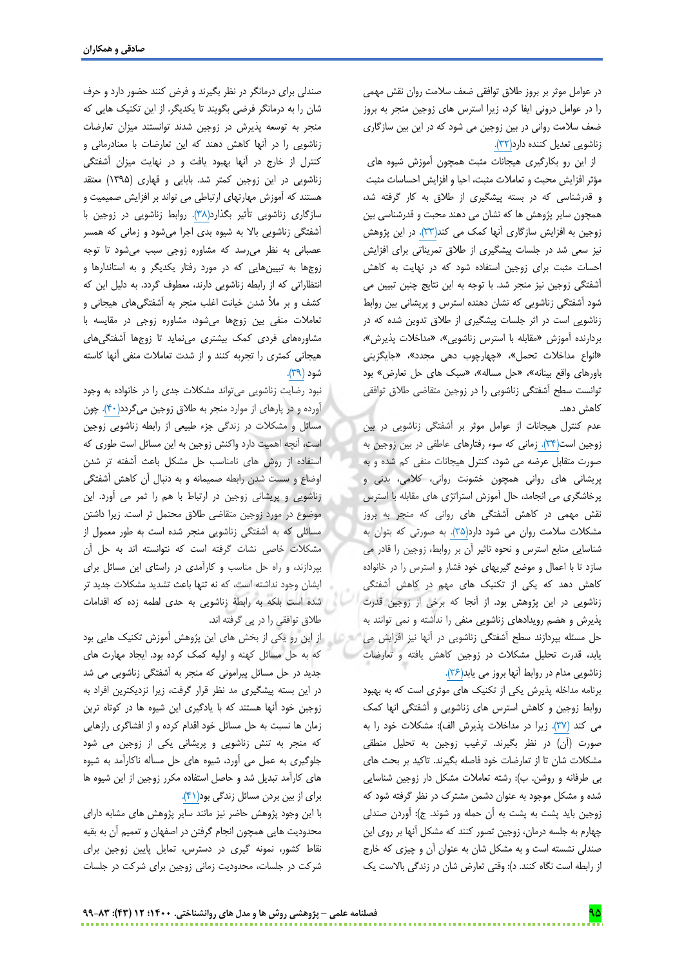در عوامل موثر بر بروز طالق توافقی ضعف سالمت روان نقش مهمی را در عوامل درونی ایفا کرد، زیرا استرس های زوجین منجر به بروز ضعف سالمت روانی در بین زوجین می شود که در این بین سازگاری زناشویی تعدیل کننده دارد(٣٢).

 از این رو بکارگیری هیجانات مثبت همچون آموزش شیوه های مؤثر افزایش محبت و تعامالت مثبت، احیا و افزایش احساسات مثبت و قدرشناسی که در بسته پیشگیری از طالق به کار گرفته شد، همچون سایر پژوهش ها که نشان می دهند محبت و قدرشناسی بین زوجین به افزایش سازگاری آنها کمک می کند(۳۳). در این پژوهش نیز سعی شد در جلسات پیشگیری از طالق تمریناتی برای افزایش احسات مثبت برای زوجین استفاده شود که در نهایت به کاهش آشفتگی زوجین نیز منجر شد. با توجه به این نتایج چنین تبیین می شود آشفتگی زناشویی که نشان دهنده استرس و پریشانی بین روابط زناشویی است در اثر جلسات پیشگیری از طالق تدوین شده که در بردارنده آموزش »مقابله با استرس زناشویی«، »مداخالت پذیرش«، »انواع مداخالت تحمل«، »چهارچوب دهی مجدد«، »جایگزینی باورهای واقع بینانه«، »حل مساله«، »سبک های حل تعارض« بود توانست سطح آشفتگی زناشویی را در زوجین متقاضی طالق توافقی کاهش دهد.

عدم کنترل هیجانات از عوامل موثر بر آشفتگی زناشویی در بین زوجین است(۳۴). زمانی که سوء رفتارهای عاطفی در بین زوجین به صورت متقابل عرضه می شود، کنترل هیجانات منفی کم شده و به پریشانی های روانی همچون خشونت روانی، کالمی، بدنی و پرخاشگری می انجامد، حال آموزش استراتژی های مقابله با استرس نقش مهمی در کاهش آشفتگی های روانی که منجر به بروز مشکالت سالمت روان می شود دارد)35(. به صورتی که بتوان به شناسایی منابع استرس و نحوه تاثیر آن بر روابط، زوجین را قادر می سازد تا با اعمال و موضع گیریهای خود فشار و استرس را در خانواده کاهش دهد که یکی از تکنیک های مهم در کاهش آشفتگی زناشویی در این پژوهش بود. از آنجا که برخی از زوجین قدرت پذیرش و هضم رویدادهای زناشویی منفی را نداشته و نمی توانند به حل مسئله بپردازند سطح آشفتگی زناشویی در آنها نیز افزایش می یابد، قدرت تحلیل مشکالت در زوجین کاهش یافته و تعارضات زناشویی مدام در روابط آنها بروز می یابد)36(.

برنامه مداخله پذیرش یکی از تکنیک های موثری است که به بهبود روابط زوجین و کاهش استرس های زناشویی و آشفتگی انها کمک می کند (٣٧). زیرا در مداخلات پذیرش الف): مشکلات خود را به صورت (آن) در نظر بگیرند. ترغیب زوجین به تحلیل منطقی مشکالت شان تا از تعارضات خود فاصله بگیرند. تاکید بر بحث های بی طرفانه و روشن. ب): رشته تعاملات مشکل دار زوجین شناسایی شده و مشکل موجود به عنوان دشمن مشترک در نظر گرفته شود که زوجین باید پشت به پشت به آن حمله ور شوند. ج): آوردن صندلی چهارم به جلسه درمان، زوجین تصور کنند که مشکل آنها بر روی این صندلی نشسته است و به مشکل شان به عنوان آن و چیزی که خارج از رابطه است نگاه کنند. د): وقتی تعارض شان در زندگی بالاست یک

صندلی برای درمانگر در نظر بگیرند و فرض کنند حضور دارد و حرف شان را به درمانگر فرضی بگویند تا یکدیگر. از این تکنیک هایی که منجر به توسعه پذیرش در زوجین شدند توانستند میزان تعارضات زناشویی را در آنها کاهش دهند که این تعارضات با معنادرمانی و کنترل از خارج در آنها بهبود یافت و در نهایت میزان آشفتگی زناشویی در این زوجین کمتر شد. بابایی و قهاری )1395( معتقد هستند که آموزش مهارتهای ارتباطی می تواند بر افزایش صمیمیت و سازگاری زناشویی تأثیر بگذارد)38(. روابط زناشویی در زوجین با آشفتگی زناشویی باال به شیوه بدی اجرا میشود و زمانی که همسر عصبانی به نظر میرسد که مشاوره زوجی سبب میشود تا توجه زوجها به تبیینهایی که در مورد رفتار یکدیگر و به استاندارها و انتظاراتی که از رابطه زناشویی دارند، معطوف گردد. به دلیل این که کشف و بر مأل شدن خیانت اغلب منجر به آشفتگیهای هیجانی و تعامالت منفی بین زوجها میشود، مشاوره زوجی در مقایسه با مشاورههای فردی کمک بیشتری مینماید تا زوجها آشفتگیهای هیجانی کمتری را تجربه کنند و از شدت تعامالت منفی آنها کاسته شود (۳۹).

نبود رضایت زناشویی میتواند مشکالت جدی را در خانواده به وجود آورده و در پارهای از موارد منجر به طالق زوجین میگردد)40(. چون مسائل و مشکالت در زندگی جزء طبیعی از رابطه زناشویی زوجین است، آنچه اهمیت دارد واکنش زوجین به این مسائل است طوری که استفاده از روش های نامناسب حل مشکل باعث آشفته تر شدن اوضاع و سست شدن رابطه صمیمانه و به دنبال آن کاهش آشفتگی زناشویی و پریشانی زوجین در ارتباط با هم را ثمر می آورد. این موضوع در مورد زوجین متقاضی طالق محتمل تر است. زیرا داشتن مسائلی که به آشفتگی زناشویی منجر شده است به طور معمول از مشکالت خاصی نشات گرفته است که نتوانسته اند به حل آن بپردازند، و راه حل مناسب و کارآمدی در راستای این مسائل برای ایشان وجود نداشته است، که نه تنها باعث تشدید مشکالت جدید تر شده است بلکه به رابطۀ زناشویی به حدی لطمه زده که اقدامات طالق توافقی را در پی گرفته اند.

از این رو یکی از بخش های این پژوهش آموزش تکنیک هایی بود که به حل مسائل کهنه و اولیه کمک کرده بود. ایجاد مهارت های جدید در حل مسائل پیرامونی که منجر به آشفتگی زناشویی می شد در این بسته پیشگیری مد نظر قرار گرفت، زیرا نزدیکترین افراد به زوجین خود آنها هستند که با یادگیری این شیوه ها در کوتاه ترین زمان ها نسبت به حل مسائل خود اقدام کرده و از افشاگری رازهایی که منجر به تنش زناشویی و پریشانی یکی از زوجین می شود جلوگیری به عمل می آورد، شیوه های حل مسأله ناکارآمد به شیوه های کارآمد تبدیل شد و حاصل استفاده مکرر زوجین از این شیوه ها برای از بین بردن مسائل زندگی بود)41(.

با این وجود پژوهش حاضر نیز مانند سایر پژوهش های مشابه دارای محدودیت هایی همچون انجام گرفتن در اصفهان و تعمیم آن به بقیه نقاط کشور، نمونه گیری در دسترس، تمایل پایین زوجین برای شرکت در جلسات، محدودیت زمانی زوجین برای شرکت در جلسات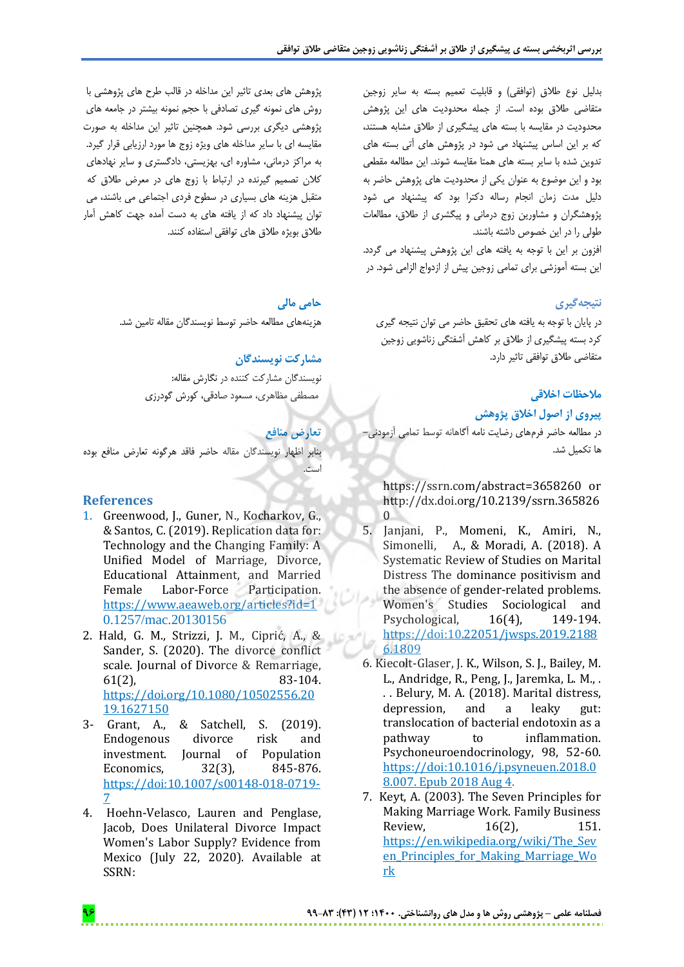بدلیل نوع طلاق (توافقی) و قابلیت تعمیم بسته به سایر زوجین متقاضی طالق بوده است. از جمله محدودیت های این پژوهش محدودیت در مقایسه با بسته های پیشگیری از طالق مشابه هستند، که بر این اساس پیشنهاد می شود در پژوهش های آتی بسته های تدوین شده با سایر بسته های همتا مقایسه شوند. این مطالعه مقطعی بود و این موضوع به عنوان یکی از محدودیت های پژوهش حاضر به دلیل مدت زمان انجام رساله دکترا بود که پیشنهاد می شود پژوهشگران و مشاورین زوج درمانی و پیگشری از طالق، مطالعات طولی را در این خصوص داشته باشند.

افزون بر این با توجه به یافته های این پژوهش پیشنهاد می گردد. این بسته آموزشی برای تمامی زوجین پیش از ازدواج الزامی شود. در

#### **نتیجهگیری**

در پایان با توجه به یافته های تحقیق حاضر می توان نتیجه گیری کرد بسته پیشگیری از طالق بر کاهش آشفتگی زناشویی زوجین متقاضی طالق توافقی تاثیر دارد.

## **مالحظات اخالقی**

**پیروی از اصول اخالق پژوهش**

در مطالعه حاضر فرمهای رضایت نامه آگاهانه توسط تمامی آزمودنی- ها تکمیل شد.

https://ssrn.com/abstract=3658260 or http://dx.doi.org/10.2139/ssrn.365826  $\theta$ 

- 5. Janjani, P., Momeni, K., Amiri, N., Simonelli, A., & Moradi, A. (2018). A Systematic Review of Studies on Marital Distress The dominance positivism and the absence of gender-related problems. Women's Studies Sociological and Psychological, 16(4), 149-194. https://doi:10.22051/jwsps.2019.2188 6.1809
- 6. Kiecolt-Glaser, J. K., Wilson, S. J., Bailey, M. L., Andridge, R., Peng, J., Jaremka, L. M., . . . Belury, M. A. (2018). Marital distress, depression, and a leaky gut: translocation of bacterial endotoxin as a pathway to inflammation. Psychoneuroendocrinology, 98, 52-60. https://doi:10.1016/j.psyneuen.2018.0 8.007. Epub 2018 Aug 4.
- 7. Keyt, A. (2003). The Seven Principles for Making Marriage Work. Family Business Review, 16(2), 151. https://en.wikipedia.org/wiki/The\_Sev en Principles for Making Marriage Wo rk

پژوهش های بعدی تاثیر این مداخله در قالب طرح های پژوهشی با روش های نمونه گیری تصادفی با حجم نمونه بیشتر در جامعه های پژوهشی دیگری بررسی شود. همچنین تاثیر این مداخله به صورت مقایسه ای با سایر مداخله های ویژه زوج ها مورد ارزیابی قرار گیرد. به مراکز درمانی، مشاوره ای، بهزیستی، دادگستری و سایر نهادهای کالن تصمیم گیرنده در ارتباط با زوج های در معرض طالق که متقبل هزینه های بسیاری در سطوح فردی اجتماعی می باشند، می توان پیشنهاد داد که از یافته های به دست آمده جهت کاهش آمار طالق بویژه طالق های توافقی استفاده کنند.

#### **حامی مالی**

هزینههای مطالعه حاضر توسط نویسندگان مقاله تامین شد.

#### **مشارکت نویسندگان**

نویسندگان مشارکت کننده در نگارش مقاله: مصطفی مظاهری، مسعود صادقی، کورش گودرزی

## **تعارض منافع**

بنابر اظهار نویسندگان مقاله حاضر فاقد هرگونه تعارض منافع بوده است.

#### **References**

- 1. Greenwood, J., Guner, N., Kocharkov, G., & Santos, C. (2019). Replication data for: Technology and the Changing Family: A Unified Model of Marriage, Divorce, Educational Attainment, and Married Female Labor-Force Participation. https://www.aeaweb.org/articles?id=1 0.1257/mac.20130156
- 2. Hald, G. M., Strizzi, J. M., Ciprić, A., & Sander, S. (2020). The divorce conflict scale. Journal of Divorce & Remarriage, 61(2), 83-104. https://doi.org/10.1080/10502556.20 19.1627150
- 3- Grant, A., & Satchell, S. (2019). Endogenous divorce risk and investment. Journal of Population Economics, 32(3), 845-876. https://doi:10.1007/s00148-018-0719- 7
- 4. Hoehn-Velasco, Lauren and Penglase, Jacob, Does Unilateral Divorce Impact Women's Labor Supply? Evidence from Mexico (July 22, 2020). Available at SSRN: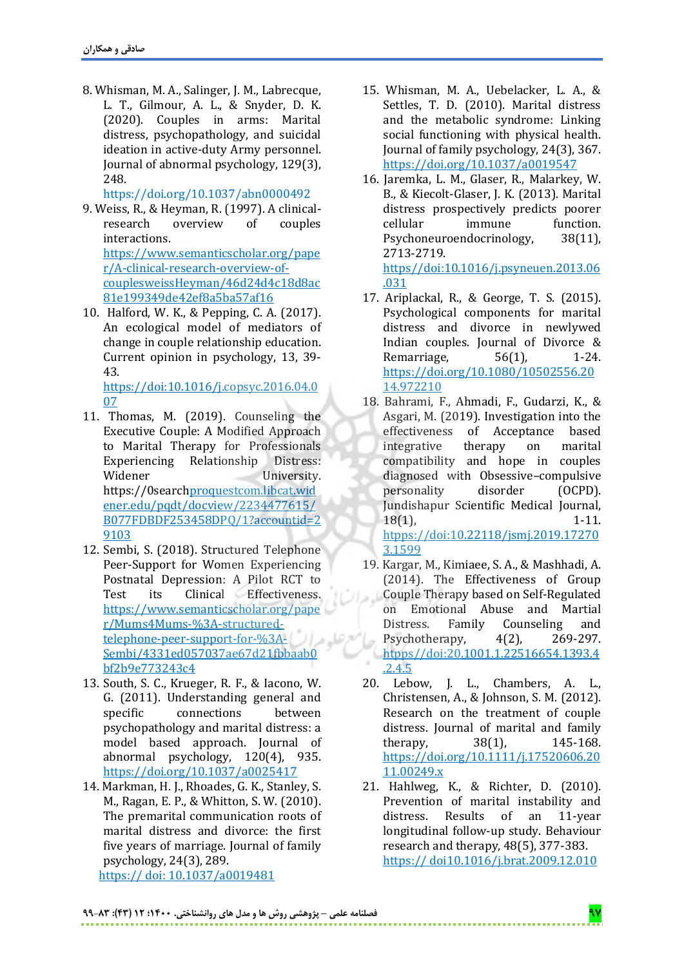8. Whisman, M. A., Salinger, J. M., Labrecque, L. T., Gilmour, A. L., & Snyder, D. K. (2020). Couples in arms: Marital distress, psychopathology, and suicidal ideation in active-duty Army personnel. Journal of abnormal psychology, 129(3), 248.

https://doi.org/10.1037/abn0000492

- 9. Weiss, R., & Heyman, R. (1997). A clinicalresearch overview of couples interactions. https://www.semanticscholar.org/pape r/A-clinical-research-overview-ofcouplesweissHeyman/46d24d4c18d8ac 81e199349de42ef8a5ba57af16
- 10. Halford, W. K., & Pepping, C. A. (2017). An ecological model of mediators of change in couple relationship education. Current opinion in psychology, 13, 39- 43.

https://doi:10.1016/j.copsyc.2016.04.0 07

- 11. Thomas, M. (2019). Counseling the Executive Couple: A Modified Approach to Marital Therapy for Professionals Experiencing Relationship Distress: Widener University. https://0searchproquestcom.libcat.wid ener.edu/pqdt/docview/2234477615/ B077FDBDF253458DPQ/1?accountid=2 9103
- 12. Sembi, S. (2018). Structured Telephone Peer-Support for Women Experiencing Postnatal Depression: A Pilot RCT to Test its Clinical Effectiveness. https://www.semanticscholar.org/pape r/Mums4Mums-%3A-structuredtelephone-peer-support-for-%3A-وحراله Sembi/4331ed057037ae67d21fbbaab0 bf2b9e773243c4
- 13. South, S. C., Krueger, R. F., & Iacono, W. G. (2011). Understanding general and specific connections between psychopathology and marital distress: a model based approach. Journal of abnormal psychology, 120(4), 935. https://doi.org/10.1037/a0025417
- 14. Markman, H. J., Rhoades, G. K., Stanley, S. M., Ragan, E. P., & Whitton, S. W. (2010). The premarital communication roots of marital distress and divorce: the first five years of marriage. Journal of family psychology, 24(3), 289. https:// doi: 10.1037/a0019481
- 15. Whisman, M. A., Uebelacker, L. A., & Settles, T. D. (2010). Marital distress and the metabolic syndrome: Linking social functioning with physical health. Journal of family psychology, 24(3), 367. https://doi.org/10.1037/a0019547
- 16. Jaremka, L. M., Glaser, R., Malarkey, W. B., & Kiecolt-Glaser, J. K. (2013). Marital distress prospectively predicts poorer cellular immune function. Psychoneuroendocrinology, 38(11), 2713-2719. https//doi:10.1016/j.psyneuen.2013.06

.031

- 17. Ariplackal, R., & George, T. S. (2015). Psychological components for marital distress and divorce in newlywed Indian couples. Journal of Divorce & Remarriage, 56(1), 1-24. https://doi.org/10.1080/10502556.20 14.972210
- 18. Bahrami, F., Ahmadi, F., Gudarzi, K., & Asgari, M. (2019). Investigation into the effectiveness of Acceptance based integrative therapy on marital compatibility and hope in couples diagnosed with Obsessive–compulsive personality disorder (OCPD). Jundishapur Scientific Medical Journal, 18(1), 1-11. htpps://doi:10.22118/jsmj.2019.17270 3.1599
- 19. Kargar, M., Kimiaee, S. A., & Mashhadi, A. (2014). The Effectiveness of Group Couple Therapy based on Self-Regulated on Emotional Abuse and Martial Distress. Family Counseling and Psychotherapy, 4(2), 269-297. htpps//doi:20.1001.1.22516654.1393.4 .2.4.5
- 20. Lebow, J. L., Chambers, A. L., Christensen, A., & Johnson, S. M. (2012). Research on the treatment of couple distress. Journal of marital and family therapy, 38(1), 145-168. https://doi.org/10.1111/j.17520606.20 11.00249.x
- 21. Hahlweg, K., & Richter, D. (2010). Prevention of marital instability and distress. Results of an 11-year longitudinal follow-up study. Behaviour research and therapy, 48(5), 377-383. https:// doi10.1016/j.brat.2009.12.010

**97 فصلنامه علمی – پژوهشی روش ها و مدل های روانشناختی. 1400؛ 12 )43(: 99-83**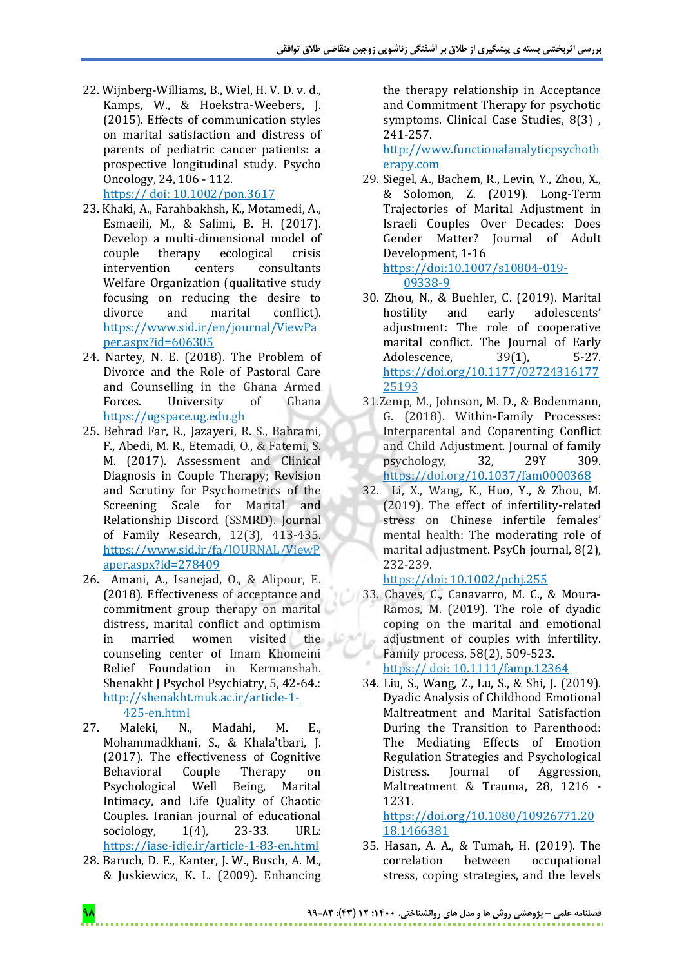- 22. Wijnberg-Williams, B., Wiel, H. V. D. v. d., Kamps, W., & Hoekstra-Weebers, J. (2015). Effects of communication styles on marital satisfaction and distress of parents of pediatric cancer patients: a prospective longitudinal study. Psycho Oncology, 24, 106 - 112. https:// doi: 10.1002/pon.3617
- 23. Khaki, A., Farahbakhsh, K., Motamedi, A., Esmaeili, M., & Salimi, B. H. (2017). Develop a multi-dimensional model of couple therapy ecological crisis intervention centers consultants Welfare Organization (qualitative study focusing on reducing the desire to divorce and marital conflict). https://www.sid.ir/en/journal/ViewPa per.aspx?id=606305
- 24. Nartey, N. E. (2018). The Problem of Divorce and the Role of Pastoral Care and Counselling in the Ghana Armed Forces. University of Ghana https://ugspace.ug.edu.gh
- 25. Behrad Far, R., Jazayeri, R. S., Bahrami, F., Abedi, M. R., Etemadi, O., & Fatemi, S. M. (2017). Assessment and Clinical Diagnosis in Couple Therapy; Revision and Scrutiny for Psychometrics of the Screening Scale for Marital and Relationship Discord (SSMRD). Journal of Family Research, 12(3), 413-435. https://www.sid.ir/fa/JOURNAL/ViewP aper.aspx?id=278409
- 26. Amani, A., Isanejad, O., & Alipour, E. (2018). Effectiveness of acceptance and commitment group therapy on marital distress, marital conflict and optimism in married women visited the counseling center of Imam Khomeini Relief Foundation in Kermanshah. Shenakht J Psychol Psychiatry, 5, 42-64.: http://shenakht.muk.ac.ir/article-1-

425-en.html

- 27. Maleki, N., Madahi, M. E., Mohammadkhani, S., & Khala'tbari, J. (2017). The effectiveness of Cognitive Behavioral Couple Therapy on Psychological Well Being, Marital Intimacy, and Life Quality of Chaotic Couples. Iranian journal of educational sociology, 1(4), 23-33. URL: https://iase-idje.ir/article-1-83-en.html
- 28. Baruch, D. E., Kanter, J. W., Busch, A. M., & Juskiewicz, K. L. (2009). Enhancing

the therapy relationship in Acceptance and Commitment Therapy for psychotic symptoms. Clinical Case Studies, 8(3) , 241-257.

http://www.functionalanalyticpsychoth erapy.com

29. Siegel, A., Bachem, R., Levin, Y., Zhou, X., & Solomon, Z. (2019). Long-Term Trajectories of Marital Adjustment in Israeli Couples Over Decades: Does Gender Matter? Journal of Adult Development, 1-16 https://doi:10.1007/s10804-019-

09338-9

- 30. Zhou, N., & Buehler, C. (2019). Marital hostility and early adolescents' adjustment: The role of cooperative marital conflict. The Journal of Early Adolescence, 39(1), 5-27. https://doi.org/10.1177/02724316177 25193
- 31.Zemp, M., Johnson, M. D., & Bodenmann, G. (2018). Within-Family Processes: Interparental and Coparenting Conflict and Child Adjustment. Journal of family psychology, 32, 29Y 309. https://doi.org/10.1037/fam0000368
- 32. Li, X., Wang, K., Huo, Y., & Zhou, M. (2019). The effect of infertility‐related stress on Chinese infertile females' mental health: The moderating role of marital adjustment. PsyCh journal, 8(2), 232-239.

## https://doi: 10.1002/pchj.255

- 33. Chaves, C., Canavarro, M. C., & Moura‐ Ramos, M. (2019). The role of dyadic coping on the marital and emotional adjustment of couples with infertility. Family process, 58(2), 509-523. https:// doi: 10.1111/famp.12364
- 34. Liu, S., Wang, Z., Lu, S., & Shi, J. (2019). Dyadic Analysis of Childhood Emotional Maltreatment and Marital Satisfaction During the Transition to Parenthood: The Mediating Effects of Emotion Regulation Strategies and Psychological Distress. Journal of Aggression, Maltreatment & Trauma, 28, 1216 - 1231.

https://doi.org/10.1080/10926771.20 18.1466381

35. Hasan, A. A., & Tumah, H. (2019). The correlation between occupational stress, coping strategies, and the levels